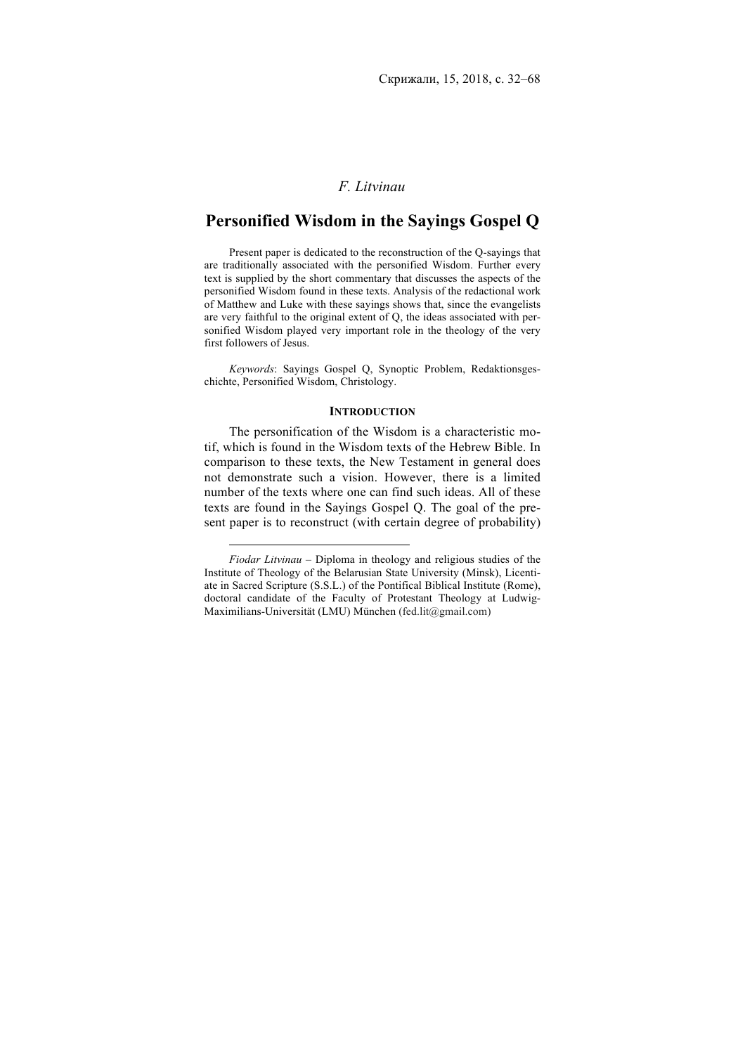### *F. Litvinau*

## **Personified Wisdom in the Sayings Gospel Q**

Present paper is dedicated to the reconstruction of the Q-sayings that are traditionally associated with the personified Wisdom. Further every text is supplied by the short commentary that discusses the aspects of the personified Wisdom found in these texts. Analysis of the redactional work of Matthew and Luke with these sayings shows that, since the evangelists are very faithful to the original extent of Q, the ideas associated with personified Wisdom played very important role in the theology of the very first followers of Jesus.

*Keywords*: Sayings Gospel Q, Synoptic Problem, Redaktionsgeschichte, Personified Wisdom, Christology.

#### **INTRODUCTION**

The personification of the Wisdom is a characteristic motif, which is found in the Wisdom texts of the Hebrew Bible. In comparison to these texts, the New Testament in general does not demonstrate such a vision. However, there is a limited number of the texts where one can find such ideas. All of these texts are found in the Sayings Gospel Q. The goal of the present paper is to reconstruct (with certain degree of probability)

*Fiodar Litvinau* – Diploma in theology and religious studies of the Institute of Theology of the Belarusian State University (Minsk), Licentiate in Sacred Scripture (S.S.L.) of the Pontifical Biblical Institute (Rome), doctoral candidate of the Faculty of Protestant Theology at Ludwig-Maximilians-Universität (LMU) München (fed.lit@gmail.com)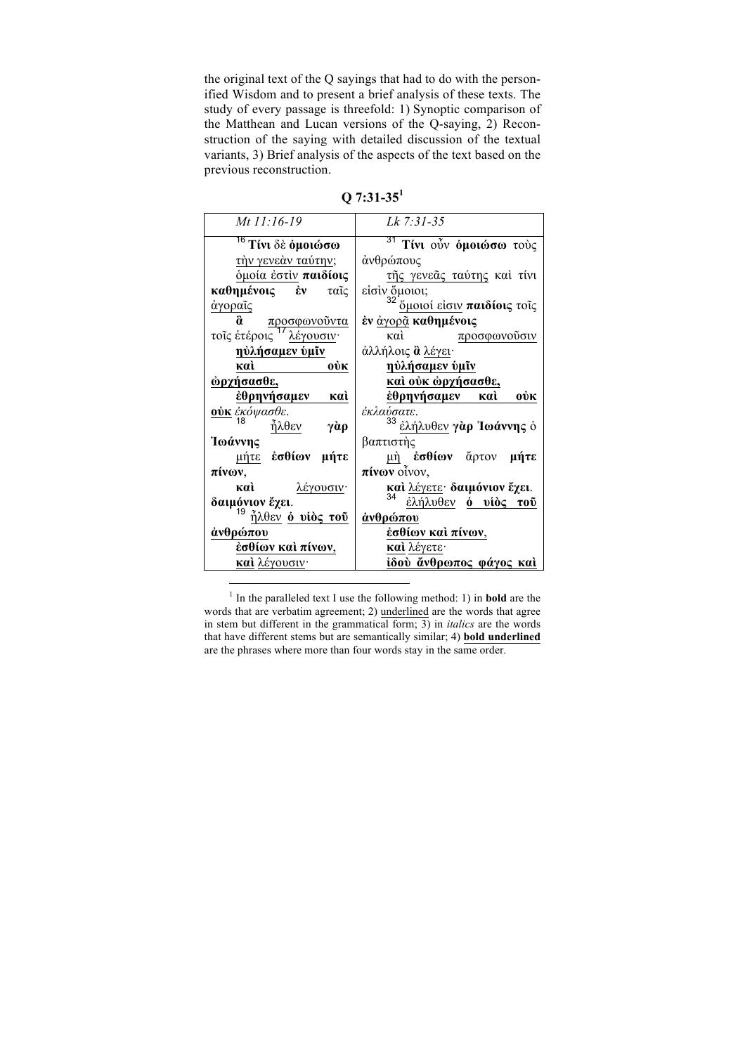the original text of the Q sayings that had to do with the personified Wisdom and to present a brief analysis of these texts. The study of every passage is threefold: 1) Synoptic comparison of the Matthean and Lucan versions of the Q-saying, 2) Reconstruction of the saying with detailed discussion of the textual variants, 3) Brief analysis of the aspects of the text based on the previous reconstruction.

| Mt 11:16-19                          | Lk 7:31-35                                   |
|--------------------------------------|----------------------------------------------|
| <sup>76</sup> Τίνι δὲ ὁμοιώσω        | <sup>31</sup> Τίνι οὖν <b>όμοιώσω</b> τούς   |
| τὴν γενεὰν ταύτην;                   | άνθρώπους                                    |
| όμοία έστιν παιδίοις                 | τῆς γενεᾶς ταύτης καὶ τίνι                   |
| καθημένοις ἐν<br>ταῖς                | είσιν ὄμοιοι;                                |
| άγοραῖς                              | <sup>32</sup> ὄμοιοί είσιν παιδίοις τοις     |
| õ.<br>προσφωνούντα                   | ἐν <u>ἀγορᾶ</u> καθημένοις                   |
| τοις έτέροις <sup>17</sup> λέγουσιν· | καὶ<br>προσφωνούσιν                          |
| <u>ηὐλήσαμεν ὑμῖν</u>                | άλλήλοις <b>ἃ</b> <u>λέγει</u> ·             |
| 0ŮK<br>каì                           | <u>ηύλήσαμεν ύμῖν</u>                        |
| ώρχήσασθε,                           | <u>καὶ οὐκ ἀρχήσασθε,</u>                    |
| έθρηνήσαμεν καὶ                      | <u>ἐθρηνήσαμεν καὶ</u><br>0ŮK                |
| <u>ούκ</u> ἐκόψασθε.                 | έκλαύσατε.                                   |
| 18<br>ἧλθεν<br>γὰρ                   | <sup>33</sup> ἐλήλυθεν γ <b>ὰρ Ἰωάννης</b> ὁ |
| Ίωάννης                              | βαπτιστὴς                                    |
| μήτε έσθίων μήτε                     | μὴ ἐσθίων ἄρτον μήτε                         |
| πίνων,                               | $\pi$ ivov otvov,                            |
| λέγουσιν·<br>каì                     | και λέγετε δαιμόνιον έχει.                   |
| δαιμόνιον έχει.                      | 34<br>έλήλυθεν <b>ό υίὸς τοῦ</b>             |
| 19<br>$\tilde{\eta}$ λθεν ο νίος του | άνθρώπου                                     |
| άνθρώπου                             | ἐσθίων καὶ πίνων,                            |
| έσθίων καὶ πίνων,                    | καὶ λέγετε·                                  |
| <b>καὶ</b> λέγουσιν·                 | ίδού ἄνθρωπος φάγος καὶ                      |

**Q 7:31-35<sup>1</sup>**

<sup>1</sup> In the paralleled text I use the following method: 1) in **bold** are the words that are verbatim agreement; 2) underlined are the words that agree in stem but different in the grammatical form; 3) in *italics* are the words that have different stems but are semantically similar; 4) **bold underlined** are the phrases where more than four words stay in the same order.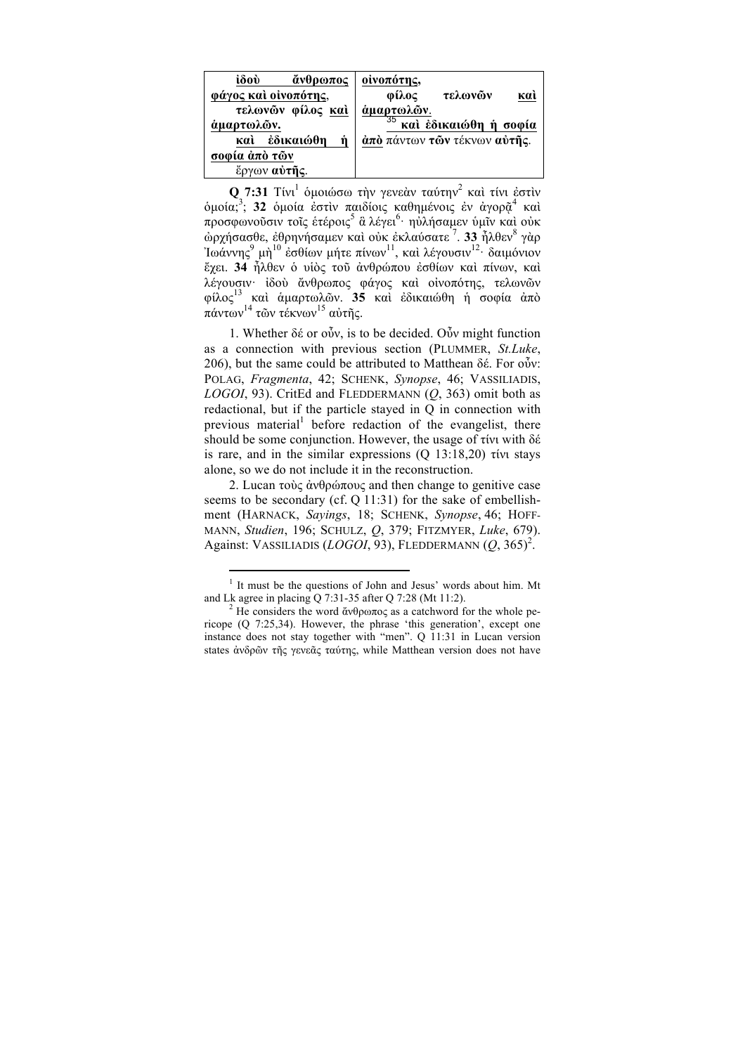**Q 7:31** Τίνι<sup>1</sup> ομοιώσω την γενεάν ταύτην<sup>2</sup> και τίνι έστιν όμοία;<sup>3</sup>; **32** όμοία ἐστὶν παιδίοις καθημένοις ἐν ἀγορῷ<sup>4</sup> καὶ προσφωνοῦσιν τοῖς ἑτέροις<sup>5</sup> ἃ λέγει<sup>6.</sup> ηὐλήσαμεν ὑμῖν καὶ οὐκ ὠρχήσασθε, ἐθρηνήσαµεν καὶ οὐκ ἐκλαύσατε <sup>7</sup> . **33** ἦλθεν<sup>8</sup> γὰρ Ίωάννης $^9$  μὴ $^{10}$  ἐσθίων μήτε πίνων $^{11}$ , καὶ λέγουσιν $^{12}$ · δαιμόνιον ἔχει. **34** ἦλθεν ὁ υἱὸς τοῦ ἀνθρώπου ἐσθίων καὶ πίνων, καὶ λέγουσιν· ἰδοὺ ἄνθρωπος φάγος καὶ οἰνοπότης, τελωνῶν φίλος<sup>13</sup> καὶ ἁµαρτωλῶν. **35** καὶ ἐδικαιώθη ἡ σοφία ἀπὸ πάντων $^{14}$  τῶν τέκνων $^{15}$  αὐτῆς.

1. Whether  $\delta \epsilon$  or  $\delta \tilde{\nu}$ , is to be decided. O $\tilde{\nu}$  might function as a connection with previous section (PLUMMER, *St.Luke*, 206), but the same could be attributed to Matthean δέ. For  $\omega$ . POLAG, *Fragmenta*, 42; SCHENK, *Synopse*, 46; VASSILIADIS, *LOGOI*, 93). CritEd and FLEDDERMANN (*Q*, 363) omit both as redactional, but if the particle stayed in Q in connection with previous material before redaction of the evangelist, there should be some conjunction. However, the usage of τίνι with δέ is rare, and in the similar expressions (Q 13:18,20) τίνι stays alone, so we do not include it in the reconstruction.

2. Lucan τοὺς ἀνθρώπους and then change to genitive case seems to be secondary (cf. Q 11:31) for the sake of embellishment (HARNACK, *Sayings*, 18; SCHENK, *Synopse*, 46; HOFF-MANN, *Studien*, 196; SCHULZ, *Q*, 379; FITZMYER, *Luke*, 679). Against: VASSILIADIS (*LOGOI*, 93), FLEDDERMANN (Q, 365)<sup>2</sup>.

<sup>&</sup>lt;sup>1</sup> It must be the questions of John and Jesus' words about him. Mt and Lk agree in placing O 7:31-35 after O 7:28 (Mt 11:2).

<sup>&</sup>lt;sup>2</sup> He considers the word ἄνθρωπος as a catchword for the whole pericope (Q 7:25,34). However, the phrase 'this generation', except one instance does not stay together with "men". Q 11:31 in Lucan version states ἀνδρῶν τῆς γενεᾶς ταύτης, while Matthean version does not have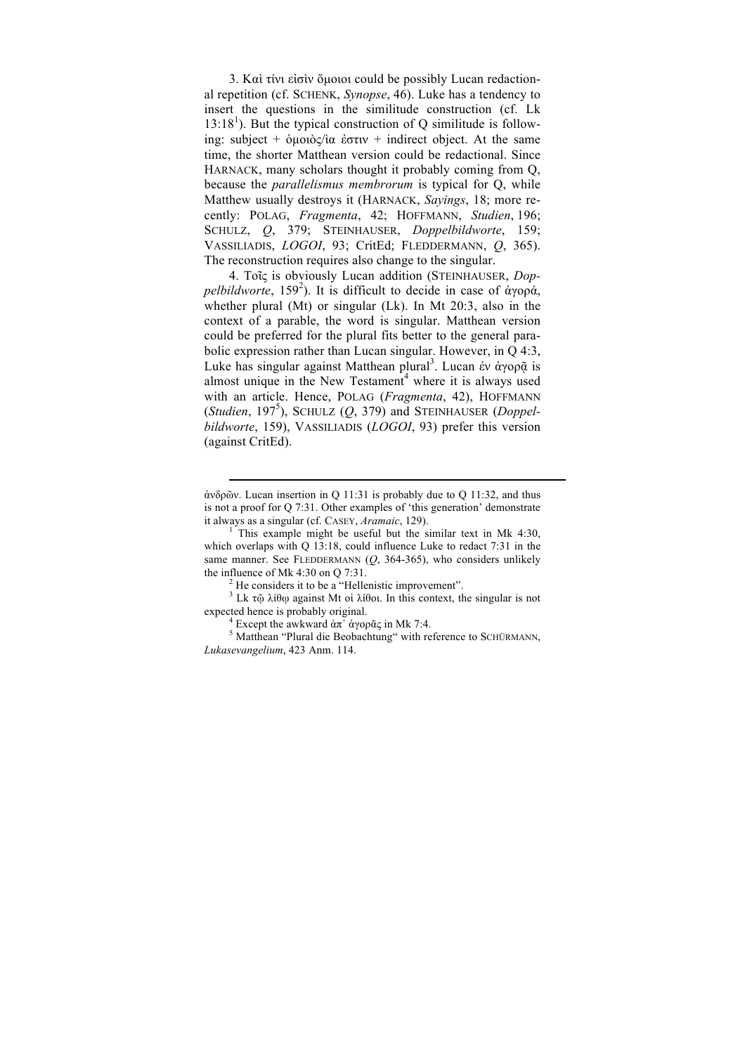3. Kαὶ τίνι εἰσὶν ὅµοιοι could be possibly Lucan redactional repetition (cf. SCHENK, *Synopse*, 46). Luke has a tendency to insert the questions in the similitude construction (cf. Lk 13:18<sup>1</sup>). But the typical construction of Q similitude is following: subject + ὁµοιὸς/ὶα ἐστιν + indirect object. At the same time, the shorter Matthean version could be redactional. Since HARNACK, many scholars thought it probably coming from Q, because the *parallelismus membrorum* is typical for Q, while Matthew usually destroys it (HARNACK, *Sayings*, 18; more recently: POLAG, *Fragmenta*, 42; HOFFMANN, *Studien*, 196; SCHULZ, *Q*, 379; STEINHAUSER, *Doppelbildworte*, 159; VASSILIADIS, *LOGOI*, 93; CritEd; FLEDDERMANN, *Q*, 365). The reconstruction requires also change to the singular.

4. Τοῖς is obviously Lucan addition (STEINHAUSER, *Doppelbildworte*, 159<sup>2</sup>). It is difficult to decide in case of άγορά, whether plural (Mt) or singular (Lk). In Mt 20:3, also in the context of a parable, the word is singular. Matthean version could be preferred for the plural fits better to the general parabolic expression rather than Lucan singular. However, in Q 4:3, Luke has singular against Matthean plural<sup>3</sup>. Lucan ἐν ἀγορῷ is almost unique in the New Testament<sup>4</sup> where it is always used with an article. Hence, POLAG (*Fragmenta*, 42), HOFFMANN (*Studien*, 197<sup>5</sup> ), SCHULZ (*Q*, 379) and STEINHAUSER (*Doppelbildworte*, 159), VASSILIADIS (*LOGOI*, 93) prefer this version (against CritEd).

expected hence is probably original.<br><sup>4</sup> Except the awkward ἀπ᾽ ἀγορᾶς in Mk 7:4.<br><sup>5</sup> Matthean "Plural die Beobachtung" with reference to SCHÜRMANN,

 $\overline{a}$ 

*Lukasevangelium*, 423 Anm. 114.

ἀνδρῶν. Lucan insertion in Q 11:31 is probably due to Q 11:32, and thus is not a proof for Q 7:31. Other examples of 'this generation' demonstrate it always as a singular (cf. CASEY, *Aramaic*, 129).<br><sup>1</sup> This example might be useful but the similar text in Mk 4:30,

which overlaps with Q 13:18, could influence Luke to redact 7:31 in the same manner. See FLEDDERMANN (*Q*, 364-365), who considers unlikely the influence of Mk 4:30 on Q 7:31.<br><sup>2</sup> He considers it to be a "Hellenistic improvement".<br><sup>3</sup> Lk τῷ λίθω against Mt oi λίθοι. In this context, the singular is not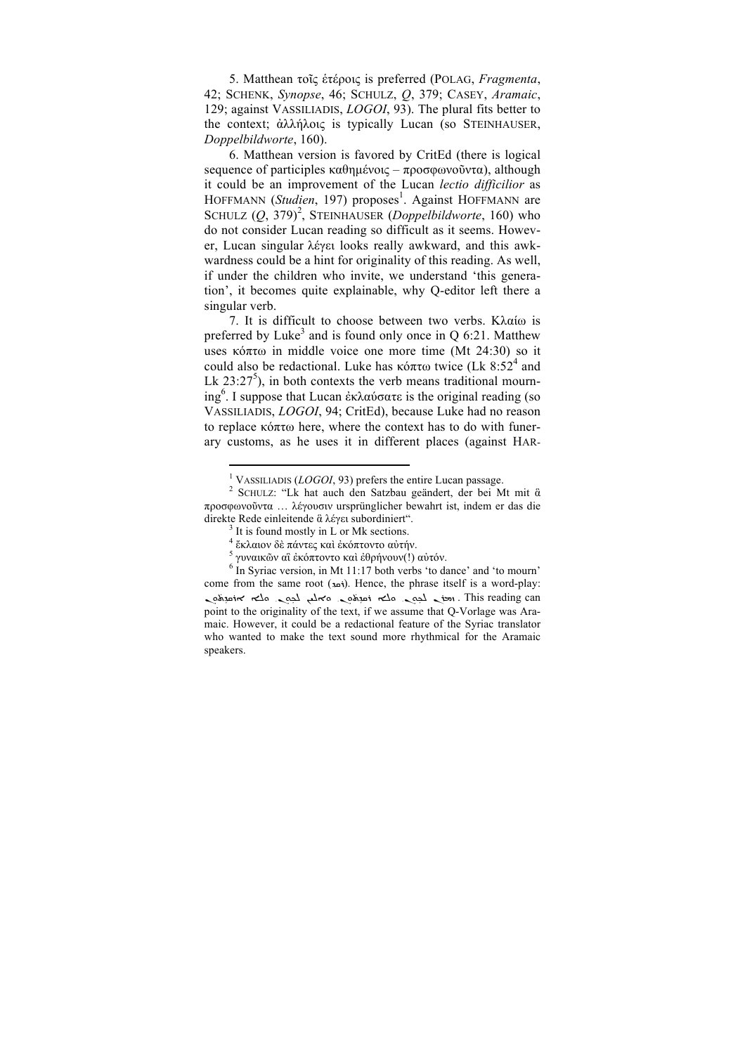5. Matthean τοῖς ἑτέροις is preferred (POLAG, *Fragmenta*, 42; SCHENK, *Synopse*, 46; SCHULZ, *Q*, 379; CASEY, *Aramaic*, 129; against VASSILIADIS, *LOGOI*, 93). The plural fits better to the context; ἀλλήλοις is typically Lucan (so STEINHAUSER, *Doppelbildworte*, 160).

6. Matthean version is favored by CritEd (there is logical sequence of participles καθηµένοις – προσφωνοῦντα), although it could be an improvement of the Lucan *lectio difficilior* as HOFFMANN (Studien, 197) proposes<sup>1</sup>. Against HOFFMANN are SCHULZ (Q, 379)<sup>2</sup>, STEINHAUSER (*Doppelbildworte*, 160) who do not consider Lucan reading so difficult as it seems. However, Lucan singular λέγει looks really awkward, and this awkwardness could be a hint for originality of this reading. As well, if under the children who invite, we understand 'this generation', it becomes quite explainable, why Q-editor left there a singular verb.

7. It is difficult to choose between two verbs. Κλαίω is preferred by Luke<sup>3</sup> and is found only once in Q 6:21. Matthew uses κόπτω in middle voice one more time (Mt 24:30) so it could also be redactional. Luke has κόπτω twice (Lk 8:52<sup>4</sup> and Lk  $23:27^5$ ), in both contexts the verb means traditional mourning<sup>6</sup> . I suppose that Lucan ἐκλαύσατε is the original reading (so VASSILIADIS, *LOGOI*, 94; CritEd), because Luke had no reason to replace κόπτω here, where the context has to do with funerary customs, as he uses it in different places (against HAR-

<sup>&</sup>lt;sup>1</sup> VASSILIADIS (*LOGOI*, 93) prefers the entire Lucan passage.<br><sup>2</sup> SCHULZ: "Lk hat auch den Satzbau geändert, der bei Mt mit ἃ προσφωνοῦντα … λέγουσιν ursprünglicher bewahrt ist, indem er das die direkte Rede einleitende ἃ λέγει subordiniert".<br><sup>3</sup> It is found mostly in L or Mk sections.<br><sup>4</sup> ἔκλαιον δὲ πάντες καὶ ἐκόπτοντο αὐτήν.

<sup>&</sup>lt;sup>5</sup> γυναικῶν αἳ ἐκόπτοντο καὶ ἐθρήνουν(!) αὐτόν.<br><sup>6</sup> In Syriac version, in Mt 11:17 both verbs 'to dance' and 'to mourn' come from the same root (i.  $\mu$ i). Hence, the phrase itself is a word-play: odine the sense of the sense of the teading can advant the sense of the teading can ܿ point to the originality of the text, if we assume that Q-Vorlage was Aramaic. However, it could be a redactional feature of the Syriac translator who wanted to make the text sound more rhythmical for the Aramaic speakers.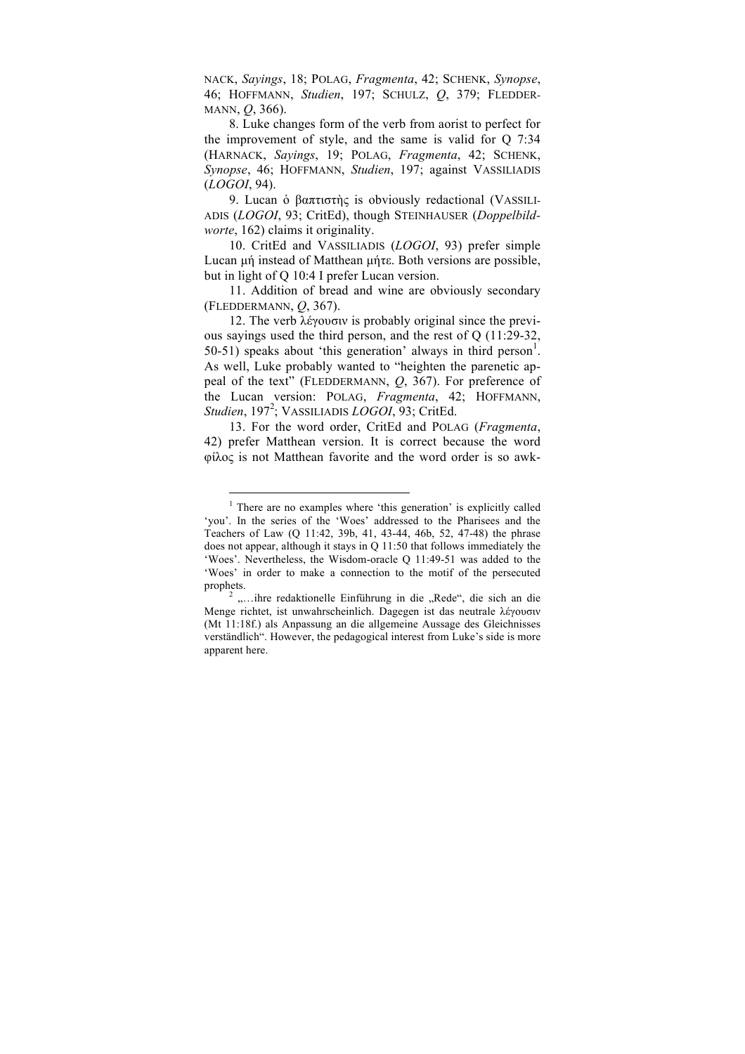NACK, *Sayings*, 18; POLAG, *Fragmenta*, 42; SCHENK, *Synopse*, 46; HOFFMANN, *Studien*, 197; SCHULZ, *Q*, 379; FLEDDER-MANN, *Q*, 366).

8. Luke changes form of the verb from aorist to perfect for the improvement of style, and the same is valid for Q 7:34 (HARNACK, *Sayings*, 19; POLAG, *Fragmenta*, 42; SCHENK, *Synopse*, 46; HOFFMANN, *Studien*, 197; against VASSILIADIS (*LOGOI*, 94).

9. Lucan ὁ βαπτιστὴς is obviously redactional (VASSILI-ADIS (*LOGOI*, 93; CritEd), though STEINHAUSER (*Doppelbildworte*, 162) claims it originality.

10. CritEd and VASSILIADIS (*LOGOI*, 93) prefer simple Lucan µή instead of Matthean µήτε. Both versions are possible, but in light of Q 10:4 I prefer Lucan version.

11. Addition of bread and wine are obviously secondary (FLEDDERMANN, *Q*, 367).

12. The verb λέγουσιν is probably original since the previous sayings used the third person, and the rest of Q (11:29-32, 50-51) speaks about 'this generation' always in third person<sup>1</sup>. As well, Luke probably wanted to "heighten the parenetic appeal of the text" (FLEDDERMANN, *Q*, 367). For preference of the Lucan version: POLAG, *Fragmenta*, 42; HOFFMANN, *Studien*, 197<sup>2</sup> ; VASSILIADIS *LOGOI*, 93; CritEd.

13. For the word order, CritEd and POLAG (*Fragmenta*, 42) prefer Matthean version. It is correct because the word φίλος is not Matthean favorite and the word order is so awk-

l

<sup>&</sup>lt;sup>1</sup> There are no examples where 'this generation' is explicitly called 'you'. In the series of the 'Woes' addressed to the Pharisees and the Teachers of Law (Q 11:42, 39b, 41, 43-44, 46b, 52, 47-48) the phrase does not appear, although it stays in Q 11:50 that follows immediately the 'Woes'. Nevertheless, the Wisdom-oracle Q 11:49-51 was added to the 'Woes' in order to make a connection to the motif of the persecuted

prophets.<br><sup>2</sup> ....ihre redaktionelle Einführung in die ..Rede", die sich an die Menge richtet, ist unwahrscheinlich. Dagegen ist das neutrale λέγουσιν (Mt 11:18f.) als Anpassung an die allgemeine Aussage des Gleichnisses verständlich". However, the pedagogical interest from Luke's side is more apparent here.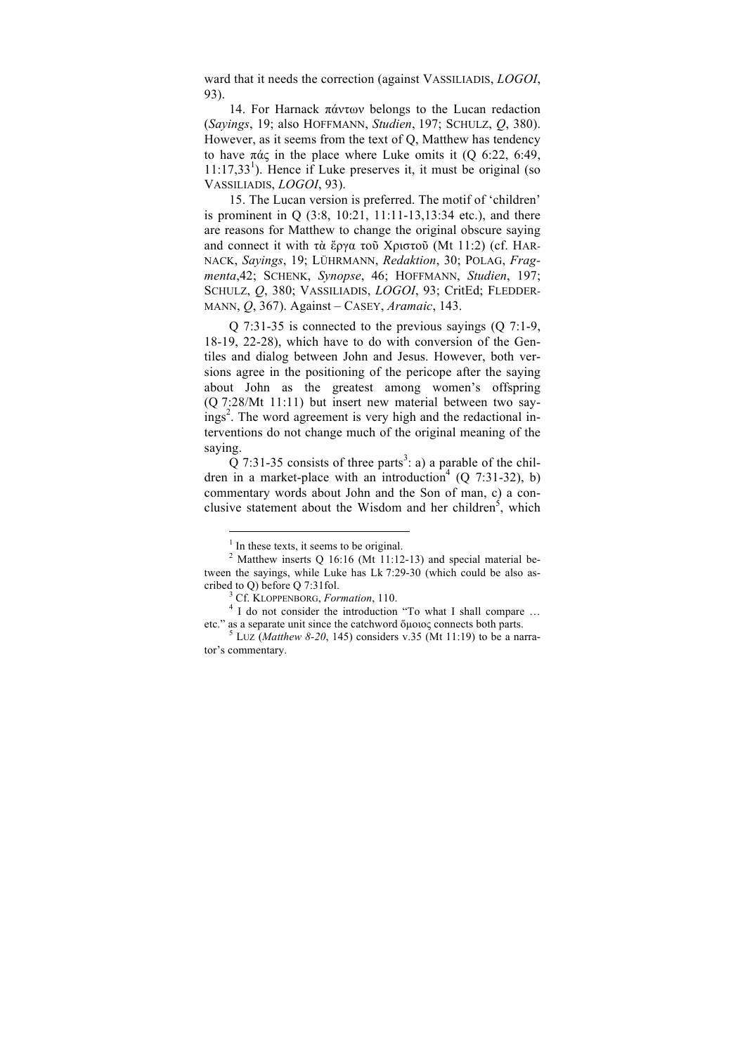ward that it needs the correction (against VASSILIADIS, *LOGOI*, 93).

14. For Harnack πάντων belongs to the Lucan redaction (*Sayings*, 19; also HOFFMANN, *Studien*, 197; SCHULZ, *Q*, 380). However, as it seems from the text of Q, Matthew has tendency to have πάς in the place where Luke omits it (Q 6:22, 6:49,  $11:17,33<sup>1</sup>$ ). Hence if Luke preserves it, it must be original (so VASSILIADIS, *LOGOI*, 93).

15. The Lucan version is preferred. The motif of 'children' is prominent in Q (3:8, 10:21, 11:11-13,13:34 etc.), and there are reasons for Matthew to change the original obscure saying and connect it with τὰ ἔργα τοῦ Χριστοῦ (Mt 11:2) (cf. HAR-NACK, *Sayings*, 19; LÜHRMANN, *Redaktion*, 30; POLAG, *Fragmenta*,42; SCHENK, *Synopse*, 46; HOFFMANN, *Studien*, 197; SCHULZ, *Q*, 380; VASSILIADIS, *LOGOI*, 93; CritEd; FLEDDER-MANN, *Q*, 367). Against – CASEY, *Aramaic*, 143.

 $Q$  7:31-35 is connected to the previous sayings (Q 7:1-9, 18-19, 22-28), which have to do with conversion of the Gentiles and dialog between John and Jesus. However, both versions agree in the positioning of the pericope after the saying about John as the greatest among women's offspring (Q 7:28/Mt 11:11) but insert new material between two sayings<sup>2</sup>. The word agreement is very high and the redactional interventions do not change much of the original meaning of the saying.

 $\overline{Q}$  7:31-35 consists of three parts<sup>3</sup>: a) a parable of the children in a market-place with an introduction<sup>4</sup> (Q 7:31-32), b) commentary words about John and the Son of man, c) a conclusive statement about the Wisdom and her children<sup>5</sup>, which

 $<sup>1</sup>$  In these texts, it seems to be original.</sup>

<sup>&</sup>lt;sup>2</sup> Matthew inserts Q 16:16 (Mt 11:12-13) and special material between the sayings, while Luke has Lk 7:29-30 (which could be also ascribed to Q) before Q 7:31fol.<br> $3 \text{ Cf. KLOPPENBORG.}$  Formation. 110.

<sup>&</sup>lt;sup>4</sup> I do not consider the introduction "To what I shall compare ... etc." as a separate unit since the catchword ὅµοιος connects both parts. <sup>5</sup> LUZ (*Matthew 8-20*, 145) considers v.35 (Mt 11:19) to be a narra-

tor's commentary.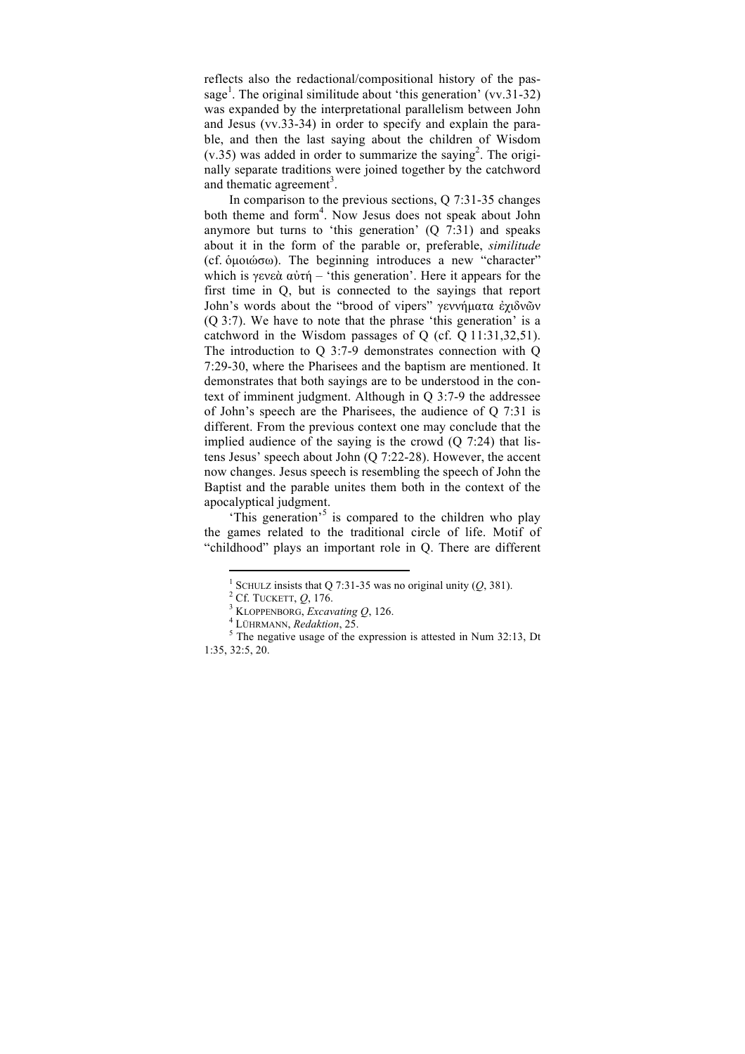reflects also the redactional/compositional history of the passage<sup>1</sup>. The original similitude about 'this generation' (vv.31-32) was expanded by the interpretational parallelism between John and Jesus (vv.33-34) in order to specify and explain the parable, and then the last saying about the children of Wisdom  $(v.35)$  was added in order to summarize the saying<sup>2</sup>. The originally separate traditions were joined together by the catchword and thematic agreement<sup>3</sup>.

In comparison to the previous sections, Q 7:31-35 changes both theme and form<sup>4</sup>. Now Jesus does not speak about John anymore but turns to 'this generation' (Q 7:31) and speaks about it in the form of the parable or, preferable, *similitude* (cf. ὁµοιώσω). The beginning introduces a new "character" which is γενεὰ αὐτή – 'this generation'. Here it appears for the first time in Q, but is connected to the sayings that report John's words about the "brood of vipers" γεννήματα έχιδνῶν (Q 3:7). We have to note that the phrase 'this generation' is a catchword in the Wisdom passages of Q (cf. Q 11:31,32,51). The introduction to Q 3:7-9 demonstrates connection with Q 7:29-30, where the Pharisees and the baptism are mentioned. It demonstrates that both sayings are to be understood in the context of imminent judgment. Although in Q 3:7-9 the addressee of John's speech are the Pharisees, the audience of Q 7:31 is different. From the previous context one may conclude that the implied audience of the saying is the crowd  $(Q 7:24)$  that listens Jesus' speech about John (Q 7:22-28). However, the accent now changes. Jesus speech is resembling the speech of John the Baptist and the parable unites them both in the context of the apocalyptical judgment.

This generation<sup>5</sup> is compared to the children who play the games related to the traditional circle of life. Motif of "childhood" plays an important role in Q. There are different

<sup>&</sup>lt;sup>1</sup> SCHULZ insists that Q 7:31-35 was no original unity (Q, 381).<br>
<sup>2</sup> Cf. TUCKETT, Q, 176.<br>
<sup>3</sup> KLOPPENBORG, *Excavating Q*, 126.<br>
<sup>4</sup> LÜHRMANN, *Redaktion*, 25.<br>
<sup>5</sup> The negative usage of the expression is attested in N 1:35, 32:5, 20.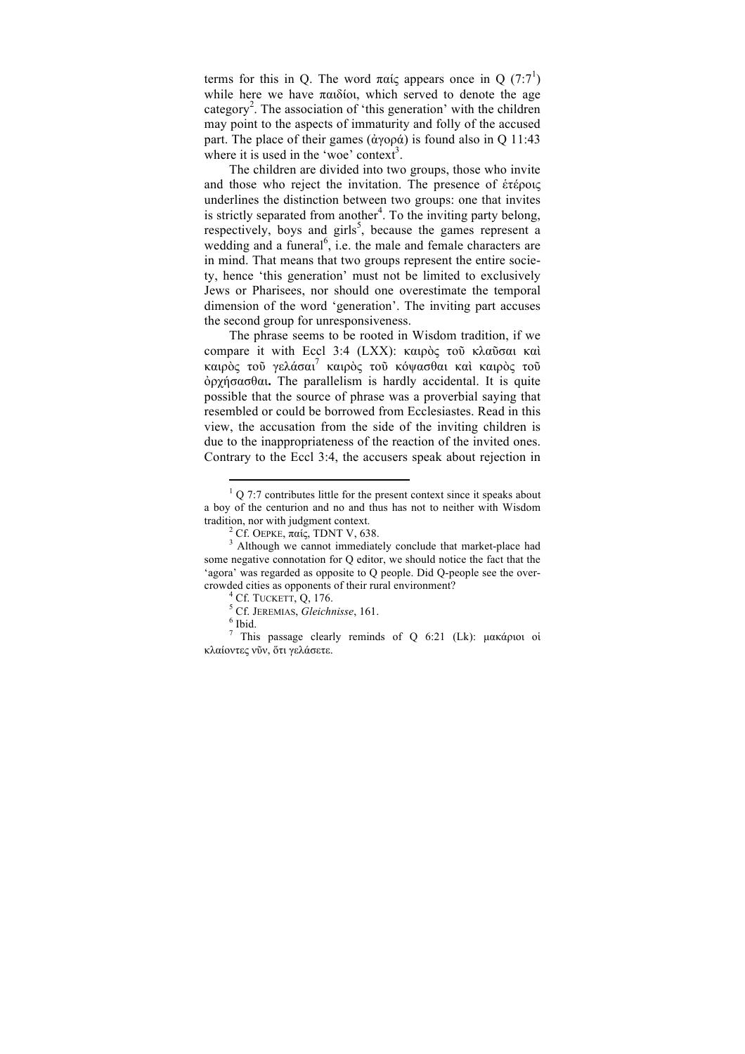terms for this in Q. The word παίς appears once in Q (7:7<sup>1</sup>) while here we have  $\pi\alpha\delta$  ioi, which served to denote the age category<sup>2</sup>. The association of 'this generation' with the children may point to the aspects of immaturity and folly of the accused part. The place of their games (ἀγορά) is found also in Q 11:43 where it is used in the 'woe' context<sup>3</sup>.

The children are divided into two groups, those who invite and those who reject the invitation. The presence of ἑτέροις underlines the distinction between two groups: one that invites is strictly separated from another<sup>4</sup>. To the inviting party belong, respectively, boys and girls<sup>5</sup>, because the games represent a wedding and a funeral<sup>6</sup>, i.e. the male and female characters are in mind. That means that two groups represent the entire society, hence 'this generation' must not be limited to exclusively Jews or Pharisees, nor should one overestimate the temporal dimension of the word 'generation'. The inviting part accuses the second group for unresponsiveness.

The phrase seems to be rooted in Wisdom tradition, if we compare it with Eccl 3:4 (LXX): καιρὸς τοῦ κλαῦσαι καὶ καιρὸς τοῦ γελάσαι<sup>7</sup> καιρὸς τοῦ κόψασθαι καὶ καιρὸς τοῦ ὀρχήσασθαι**.** The parallelism is hardly accidental. It is quite possible that the source of phrase was a proverbial saying that resembled or could be borrowed from Ecclesiastes. Read in this view, the accusation from the side of the inviting children is due to the inappropriateness of the reaction of the invited ones. Contrary to the Eccl 3:4, the accusers speak about rejection in

 $1$  Q 7:7 contributes little for the present context since it speaks about a boy of the centurion and no and thus has not to neither with Wisdom

<sup>&</sup>lt;sup>2</sup> Cf. OEPKE, παίς, TDNT V, 638. <sup>3</sup> Although we cannot immediately conclude that market-place had some negative connotation for Q editor, we should notice the fact that the 'agora' was regarded as opposite to Q people. Did Q-people see the overcrowded cities as opponents of their rural environment?<br>
<sup>4</sup> Cf. TUCKETT, Q, 176.<br>
<sup>5</sup> Cf. JEREMIAS, *Gleichnisse*, 161.<br>
<sup>6</sup> Ibid.

<sup>7</sup> This passage clearly reminds of Q 6:21 (Lk): µακάριοι οἱ κλαίοντες νῦν, ὅτι γελάσετε.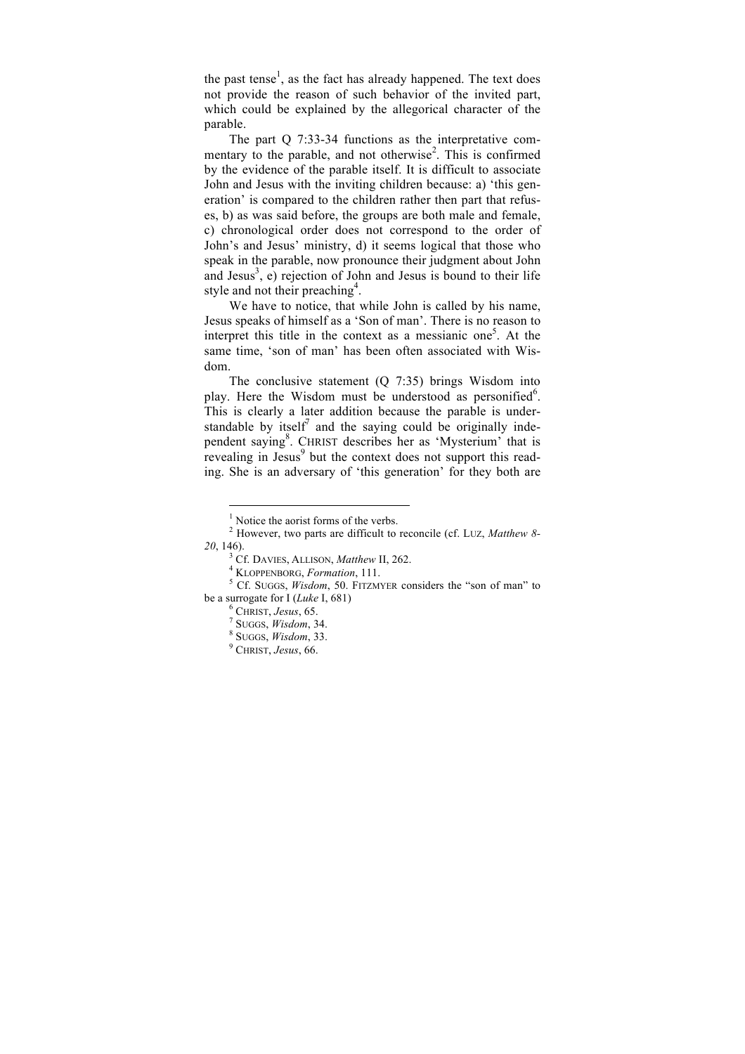the past tense<sup>1</sup>, as the fact has already happened. The text does not provide the reason of such behavior of the invited part, which could be explained by the allegorical character of the parable.

The part Q 7:33-34 functions as the interpretative commentary to the parable, and not otherwise<sup>2</sup>. This is confirmed by the evidence of the parable itself. It is difficult to associate John and Jesus with the inviting children because: a) 'this generation' is compared to the children rather then part that refuses, b) as was said before, the groups are both male and female, c) chronological order does not correspond to the order of John's and Jesus' ministry, d) it seems logical that those who speak in the parable, now pronounce their judgment about John and Jesus<sup>3</sup>, e) rejection of John and Jesus is bound to their life style and not their preaching<sup>4</sup>.

We have to notice, that while John is called by his name. Jesus speaks of himself as a 'Son of man'. There is no reason to interpret this title in the context as a messianic one<sup>5</sup>. At the same time, 'son of man' has been often associated with Wisdom.

The conclusive statement (Q 7:35) brings Wisdom into play. Here the Wisdom must be understood as personified<sup>6</sup>. This is clearly a later addition because the parable is understandable by itself<sup>7</sup> and the saying could be originally independent saying<sup>8</sup>. CHRIST describes her as 'Mysterium' that is revealing in Jesus<sup>9</sup> but the context does not support this reading. She is an adversary of 'this generation' for they both are

 $<sup>1</sup>$  Notice the aorist forms of the verbs.</sup>

<sup>2</sup> However, two parts are difficult to reconcile (cf. LUZ, *Matthew 8-*

*<sup>20</sup>*, 146).<br><sup>3</sup> Cf. DAVIES, ALLISON, *Matthew* II, 262.<br><sup>4</sup> KLOPPENBORG, *Formation*, 111.<br><sup>5</sup> Cf. SUGGS, *Wisdom*, 50. FITZMYER considers the "son of man" to<br>be a surrogate for I (*Luke* I. 681)

be a surrogate for I (*Luke* I, 681) <sup>6</sup> CHRIST, *Jesus*, 65. <sup>7</sup> SUGGS, *Wisdom*, 34. <sup>8</sup> SUGGS, *Wisdom*, 33. <sup>9</sup> CHRIST, *Jesus*, 66.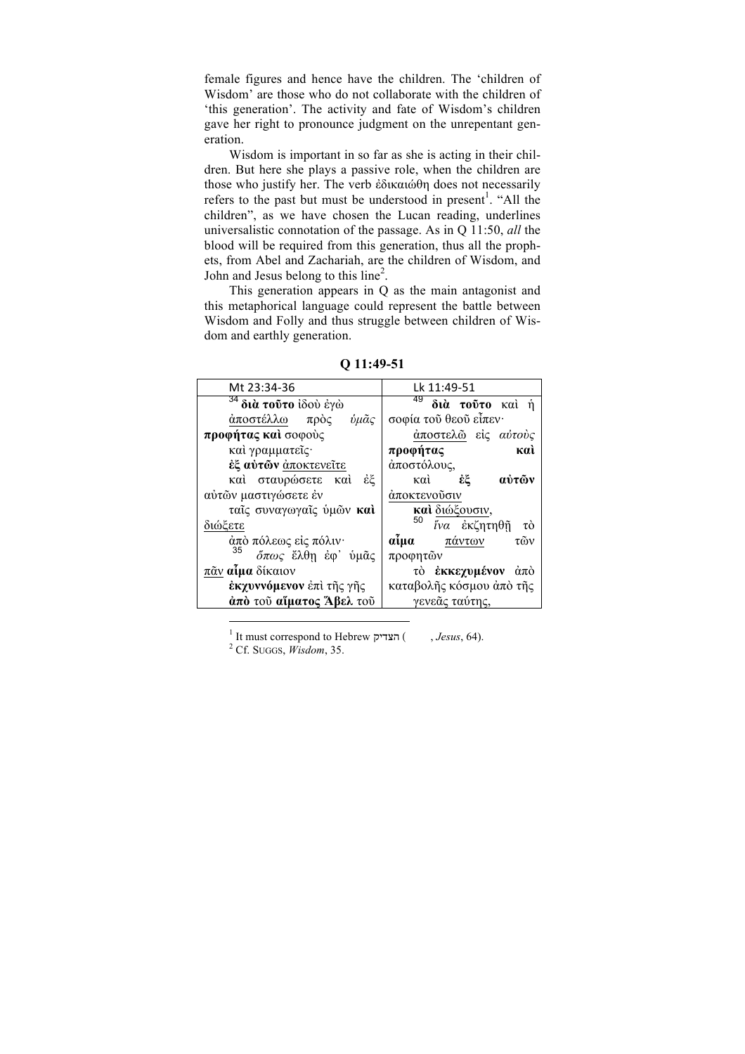female figures and hence have the children. The 'children of Wisdom' are those who do not collaborate with the children of 'this generation'. The activity and fate of Wisdom's children gave her right to pronounce judgment on the unrepentant generation.

Wisdom is important in so far as she is acting in their children. But here she plays a passive role, when the children are those who justify her. The verb ἐδικαιώθη does not necessarily refers to the past but must be understood in present<sup>1</sup>. "All the children", as we have chosen the Lucan reading, underlines universalistic connotation of the passage. As in Q 11:50, *all* the blood will be required from this generation, thus all the prophets, from Abel and Zachariah, are the children of Wisdom, and John and Jesus belong to this line<sup>2</sup>.

This generation appears in Q as the main antagonist and this metaphorical language could represent the battle between Wisdom and Folly and thus struggle between children of Wisdom and earthly generation.

| Mt 23:34-36                              | Lk 11:49-51              |
|------------------------------------------|--------------------------|
| <sup>34</sup> δι <b>ὰ τοῦτο</b> ἰδοὺ ἐγὼ | 49<br>διά τούτο καί ή    |
| άποστέλλω<br>ύμᾶς<br>πρòς                | σοφία του θεου είπεν·    |
| προφήτας και σοφούς                      | άποστελώ είς αύτούς      |
| καί γραμματεΐς·                          | προφήτας<br>кaì          |
| έξ αύτων άποκτενείτε                     | άποστόλους,              |
| καὶ σταυρώσετε καὶ<br>έξ                 | αύτῶν<br>έξ<br>καὶ       |
| αύτων μαστιγώσετε έν                     | άποκτενούσιν             |
| ταΐς συναγωγαΐς ύμων καί                 | και διώξουσιν,           |
| διώξετε                                  | 50<br>ΐνα ἐκζητηθῆ<br>τò |
| άπὸ πόλεως είς πόλιν·                    | αίμα<br>πάντων<br>τῶν    |
| 35<br>όπως έλθη έφ' ύμας                 | προφητῶν                 |
| πᾶν αίμα δίκαιον                         | τὸ ἐκκεχυμένον ἀπὸ       |
| έκχυννόμενον έπι της γης                 | καταβολῆς κόσμου ἀπὸ τῆς |
| άπό του αίματος Άβελ του                 | γενεᾶς ταύτης,           |

**Q 11:49-51**

 $^1$  It must correspond to Hebrew הצדיק) , *Jesus*, 64). <sup>2</sup> Cf. Suggs, *Wisdom*, 35.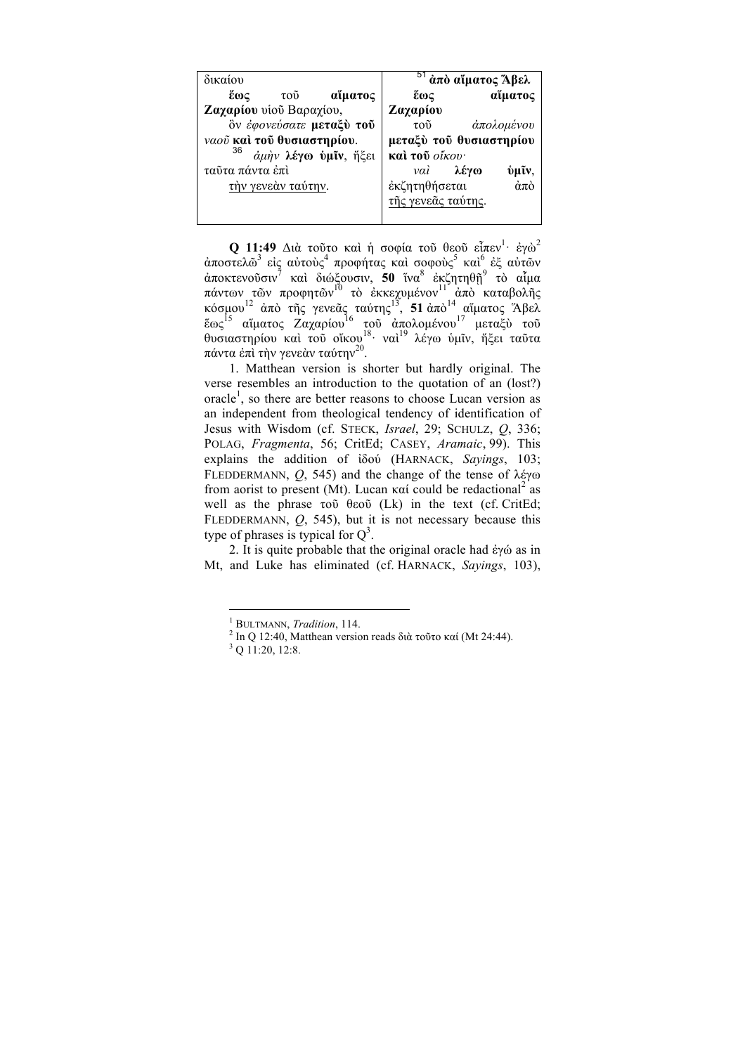| δικαίου                    | <sup>51</sup> άπὸ αἵματος Άβελ                 |
|----------------------------|------------------------------------------------|
| αΐματος<br>ἕως<br>τοῦ      | αΐματος<br>έως                                 |
| Ζαχαρίου υίου Βαραχίου,    | Ζαχαρίου                                       |
| δν έφονεύσατε μεταξύ τού   | άπολομένου<br>τοῦ                              |
| ναού και του θυσιαστηρίου. | μεταξύ του θυσιαστηρίου                        |
| 36<br>άμην λέγω ύμίν, ήξει | καί του οίκου·                                 |
| ταῦτα πάντα ἐπὶ            | vaì<br>λέγω<br>υμίν,                           |
| την γενεάν ταύτην.         | $\dot{\alpha}\pi\dot{\alpha}$<br>έκζητηθήσεται |
|                            | της γενεᾶς ταύτης.                             |
|                            |                                                |

**Q 11:49** Διὰ τοῦτο καὶ ἡ σοφία τοῦ θεοῦ εἶπεν $^1$ · ἐγὼ $^2$ άποστελῶ $^3$  εἰς αὐτοὺς $^4$  προφήτας καὶ σοφοὺς $^5$  καὶ $^6$  ἐξ αὐτῶν ἀποκτενοῦσιν<sup>7</sup> καὶ διώξουσιν, **50** ἵνα<sup>8</sup> ἐκζητηθῇ<sup>9</sup> τὸ αἷµα πάντων τῶν προφητῶν $^{10}$  τὸ ἐκκεχυμένον $^{11}$  ἀπὸ καταβολῆς κόσµου <sup>12</sup> ἀπὸ τῆς γενεᾶς ταύτης13, **51** ἀπὸ<sup>14</sup> αἵµατος Ἅβελ ἕως <sup>15</sup> αἵματος Ζαχαρίου <sup>16</sup> τοῦ ἀπολομένου <sup>17</sup> μεταξὺ τοῦ θυσιαστηρίου καὶ τοῦ οἴκου<sup>18.</sup> ναὶ<sup>19</sup> λέγω ὑμῖν, ἥξει ταῦτα πάντα ἐπὶ τὴν γενεὰν ταύτην $^{20}.$ 

1. Matthean version is shorter but hardly original. The verse resembles an introduction to the quotation of an (lost?) oracle<sup>1</sup>, so there are better reasons to choose Lucan version as an independent from theological tendency of identification of Jesus with Wisdom (cf. STECK, *Israel*, 29; SCHULZ, *Q*, 336; POLAG, *Fragmenta*, 56; CritEd; CASEY, *Aramaic*, 99). This explains the addition of ἰδού (HARNACK, *Sayings*, 103; FLEDDERMANN, *Q*, 545) and the change of the tense of λέγω from aorist to present (Mt). Lucan καί could be redactional<sup>2</sup> as well as the phrase τοῦ θεοῦ (Lk) in the text (cf. CritEd; FLEDDERMANN, *Q*, 545), but it is not necessary because this type of phrases is typical for  $Q^3$ .

2. It is quite probable that the original oracle had ἐγώ as in Mt, and Luke has eliminated (cf. HARNACK, *Sayings*, 103),

<sup>&</sup>lt;sup>1</sup> BULTMANN, *Tradition*, 114.<br><sup>2</sup> In Q 12:40, Matthean version reads διὰ τοῦτο καί (Mt 24:44).<br><sup>3</sup> Q 11:20, 12:8.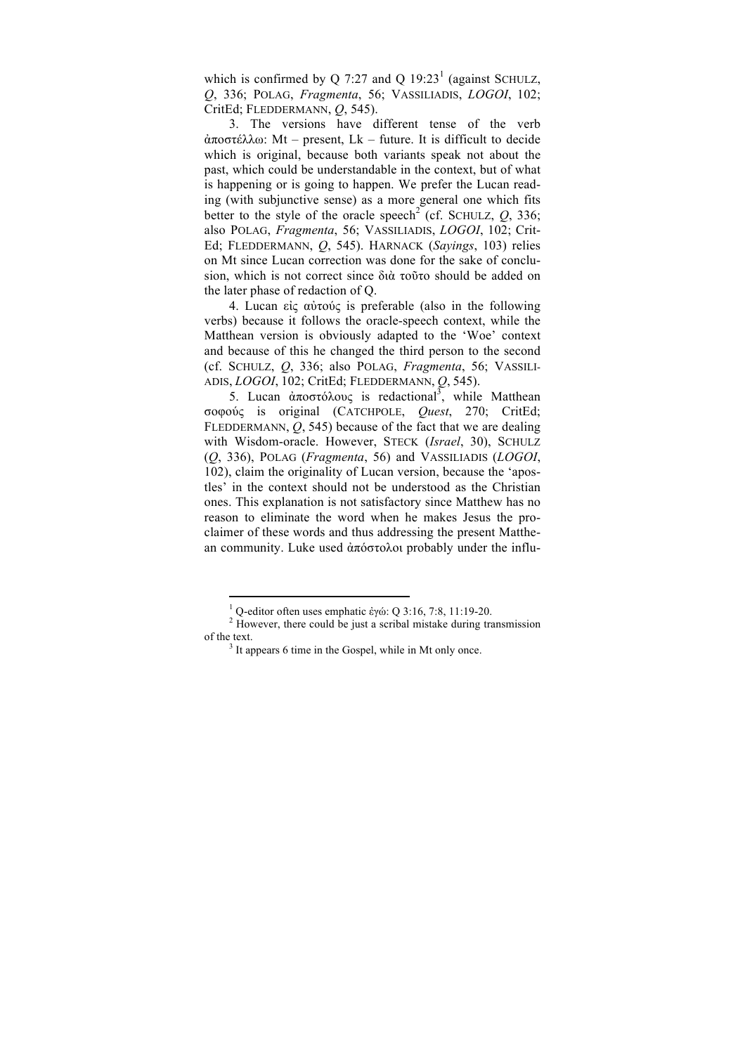which is confirmed by Q 7:27 and Q  $19:23<sup>1</sup>$  (against SCHULZ, *Q*, 336; POLAG, *Fragmenta*, 56; VASSILIADIS, *LOGOI*, 102; CritEd; FLEDDERMANN, *Q*, 545).

3. The versions have different tense of the verb ἀποστέλλω: Mt – present, Lk – future. It is difficult to decide which is original, because both variants speak not about the past, which could be understandable in the context, but of what is happening or is going to happen. We prefer the Lucan reading (with subjunctive sense) as a more general one which fits better to the style of the oracle speech<sup>2</sup> (cf. SCHULZ,  $Q$ , 336; also POLAG, *Fragmenta*, 56; VASSILIADIS, *LOGOI*, 102; Crit-Ed; FLEDDERMANN, *Q*, 545). HARNACK (*Sayings*, 103) relies on Mt since Lucan correction was done for the sake of conclusion, which is not correct since διὰ τοῦτο should be added on the later phase of redaction of Q.

4. Lucan εἰς αὐτούς is preferable (also in the following verbs) because it follows the oracle-speech context, while the Matthean version is obviously adapted to the 'Woe' context and because of this he changed the third person to the second (cf. SCHULZ, *Q*, 336; also POLAG, *Fragmenta*, 56; VASSILI-ADIS, *LOGOI*, 102; CritEd; FLEDDERMANN, *Q*, 545).

5. Lucan ἀποστόλους is redactional<sup>3</sup>, while Matthean σοφούς is original (CATCHPOLE, *Quest*, 270; CritEd; FLEDDERMANN, *Q*, 545) because of the fact that we are dealing with Wisdom-oracle. However, STECK (*Israel*, 30), SCHULZ (*Q*, 336), POLAG (*Fragmenta*, 56) and VASSILIADIS (*LOGOI*, 102), claim the originality of Lucan version, because the 'apostles' in the context should not be understood as the Christian ones. This explanation is not satisfactory since Matthew has no reason to eliminate the word when he makes Jesus the proclaimer of these words and thus addressing the present Matthean community. Luke used ἀπόστολοι probably under the influ-

<sup>&</sup>lt;sup>1</sup> Q-editor often uses emphatic ἐγώ: Q 3:16, 7:8, 11:19-20.<br><sup>2</sup> However, there could be just a scribal mistake during transmission of the text.<br><sup>3</sup> It appears 6 time in the Gospel, while in Mt only once.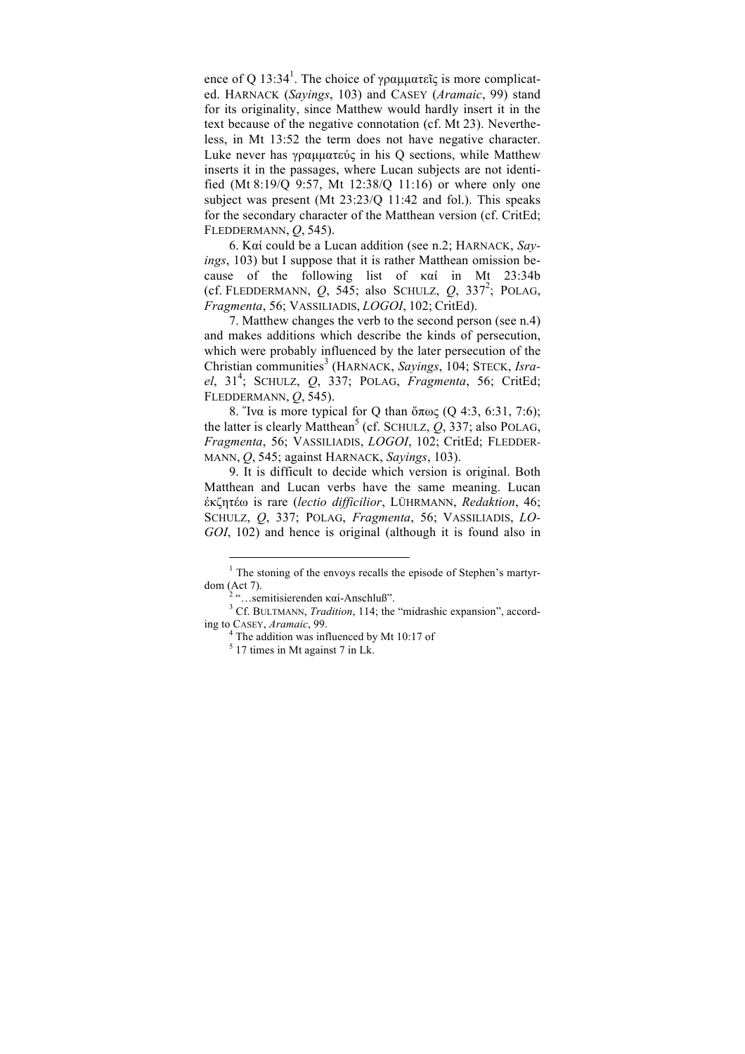ence of Q 13:34<sup>1</sup>. The choice of γραμματεῖς is more complicated. HARNACK (*Sayings*, 103) and CASEY (*Aramaic*, 99) stand for its originality, since Matthew would hardly insert it in the text because of the negative connotation (cf. Mt 23). Nevertheless, in Mt 13:52 the term does not have negative character. Luke never has γραµµατεύς in his Q sections, while Matthew inserts it in the passages, where Lucan subjects are not identified (Mt 8:19/Q 9:57, Mt 12:38/Q 11:16) or where only one subject was present (Mt 23:23/Q 11:42 and fol.). This speaks for the secondary character of the Matthean version (cf. CritEd; FLEDDERMANN, *Q*, 545).

6. Καί could be a Lucan addition (see n.2; HARNACK, *Sayings*, 103) but I suppose that it is rather Matthean omission because of the following list of καί in Mt 23:34b (cf. FLEDDERMANN,  $Q$ , 545; also SCHULZ,  $Q$ , 337<sup>2</sup>; POLAG, *Fragmenta*, 56; VASSILIADIS, *LOGOI*, 102; CritEd).

7. Matthew changes the verb to the second person (see n.4) and makes additions which describe the kinds of persecution, which were probably influenced by the later persecution of the Christian communities<sup>3</sup> (HARNACK, *Sayings*, 104; STECK, *Israel*, 31<sup>4</sup> ; SCHULZ, *Q*, 337; POLAG, *Fragmenta*, 56; CritEd; FLEDDERMANN, *Q*, 545).

8. Ἵνα is more typical for Q than ὅπως (Q 4:3, 6:31, 7:6); the latter is clearly Matthean<sup>5</sup> (cf. SCHULZ,  $Q$ , 337; also POLAG, *Fragmenta*, 56; VASSILIADIS, *LOGOI*, 102; CritEd; FLEDDER-MANN, *Q*, 545; against HARNACK, *Sayings*, 103).

9. It is difficult to decide which version is original. Both Matthean and Lucan verbs have the same meaning. Lucan ἐκζητέω is rare (*lectio difficilior*, LÜHRMANN, *Redaktion*, 46; SCHULZ, *Q*, 337; POLAG, *Fragmenta*, 56; VASSILIADIS, *LO-GOI*, 102) and hence is original (although it is found also in

<sup>&</sup>lt;sup>1</sup> The stoning of the envoys recalls the episode of Stephen's martyrdom (Act 7). <sup>2</sup> "…semitisierenden καί-Anschluß". <sup>3</sup> Cf. BULTMANN, *Tradition*, 114; the "midrashic expansion", accord-

ing to CASEY, *Aramaic*, 99. <sup>4</sup> The addition was influenced by Mt 10:17 of

 $5 \overline{17}$  times in Mt against 7 in Lk.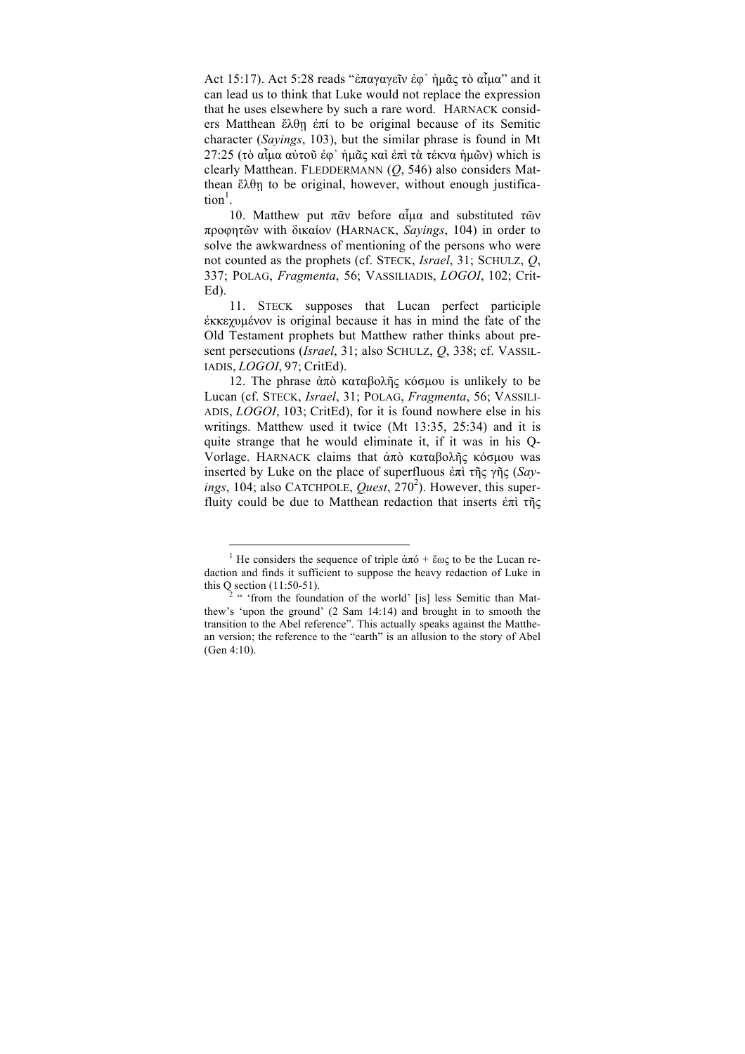Act 15:17). Act 5:28 reads "ἐπαγαγεῖν ἐφ᾽ ἡµᾶς τὸ αἷµα" and it can lead us to think that Luke would not replace the expression that he uses elsewhere by such a rare word. HARNACK considers Matthean ἔλθῃ ἐπί to be original because of its Semitic character (*Sayings*, 103), but the similar phrase is found in Mt 27:25 (τὸ αἶμα αὐτοῦ ἐφ᾽ ἡμᾶς καὶ ἐπὶ τὰ τέκνα ἡμῶν) which is clearly Matthean. FLEDDERMANN (*Q*, 546) also considers Matthean  $\tilde{\epsilon} \lambda \theta$  to be original, however, without enough justifica $tion<sup>1</sup>$ .

10. Matthew put πᾶν before αἶμα and substituted τῶν προφητῶν with δικαίον (HARNACK, *Sayings*, 104) in order to solve the awkwardness of mentioning of the persons who were not counted as the prophets (cf. STECK, *Israel*, 31; SCHULZ, *Q*, 337; POLAG, *Fragmenta*, 56; VASSILIADIS, *LOGOI*, 102; Crit-Ed).

11. STECK supposes that Lucan perfect participle ἐκκεχυµένον is original because it has in mind the fate of the Old Testament prophets but Matthew rather thinks about present persecutions (*Israel*, 31; also SCHULZ, *Q*, 338; cf. VASSIL-IADIS, *LOGOI*, 97; CritEd).

12. The phrase ἀπὸ καταβολῆς κόσµου is unlikely to be Lucan (cf. STECK, *Israel*, 31; POLAG, *Fragmenta*, 56; VASSILI-ADIS, *LOGOI*, 103; CritEd), for it is found nowhere else in his writings. Matthew used it twice (Mt 13:35, 25:34) and it is quite strange that he would eliminate it, if it was in his Q-Vorlage. HARNACK claims that ἀπὸ καταβολῆς κόσµου was inserted by Luke on the place of superfluous ἐπὶ τῆς γῆς (*Say*ings, 104; also CATCHPOLE, *Quest*, 270<sup>2</sup>). However, this superfluity could be due to Matthean redaction that inserts ἐπὶ τῆς

<sup>&</sup>lt;sup>1</sup> He considers the sequence of triple  $\dot{a}\pi\dot{\theta} + \ddot{\epsilon}\omega\zeta$  to be the Lucan redaction and finds it sufficient to suppose the heavy redaction of Luke in this  $Q$  section (11:50-51).

 $\lambda^2$  " 'from the foundation of the world' [is] less Semitic than Matthew's 'upon the ground' (2 Sam 14:14) and brought in to smooth the transition to the Abel reference". This actually speaks against the Matthean version; the reference to the "earth" is an allusion to the story of Abel (Gen 4:10).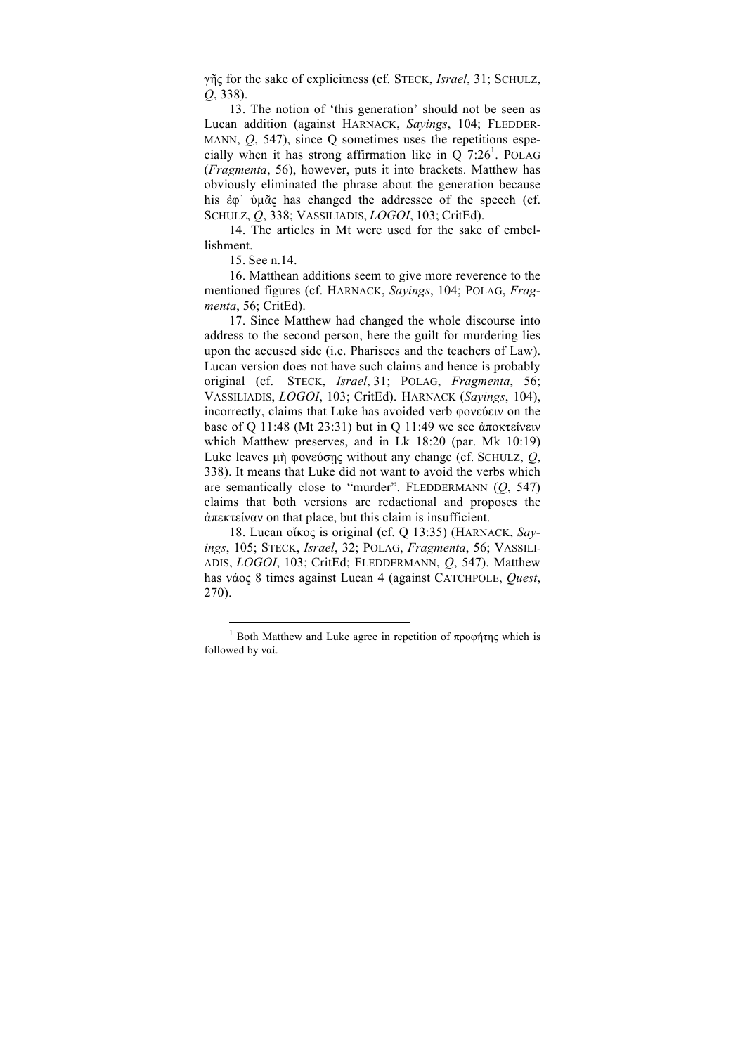γῆς for the sake of explicitness (cf. STECK, *Israel*, 31; SCHULZ, *Q*, 338).

13. The notion of 'this generation' should not be seen as Lucan addition (against HARNACK, *Sayings*, 104; FLEDDER-MANN, *Q*, 547), since Q sometimes uses the repetitions especially when it has strong affirmation like in  $Q$  7:26<sup>1</sup>. POLAG (*Fragmenta*, 56), however, puts it into brackets. Matthew has obviously eliminated the phrase about the generation because his ἐφ᾽ ὑµᾶς has changed the addressee of the speech (cf. SCHULZ, *Q*, 338; VASSILIADIS, *LOGOI*, 103; CritEd).

14. The articles in Mt were used for the sake of embellishment.

15. See n.14.

l

16. Matthean additions seem to give more reverence to the mentioned figures (cf. HARNACK, *Sayings*, 104; POLAG, *Fragmenta*, 56; CritEd).

17. Since Matthew had changed the whole discourse into address to the second person, here the guilt for murdering lies upon the accused side (i.e. Pharisees and the teachers of Law). Lucan version does not have such claims and hence is probably original (cf. STECK, *Israel*, 31; POLAG, *Fragmenta*, 56; VASSILIADIS, *LOGOI*, 103; CritEd). HARNACK (*Sayings*, 104), incorrectly, claims that Luke has avoided verb φονεύειν on the base of Q 11:48 (Mt 23:31) but in Q 11:49 we see ἀποκτείνειν which Matthew preserves, and in Lk 18:20 (par. Mk 10:19) Luke leaves µὴ φονεύσῃς without any change (cf. SCHULZ, *Q*, 338). It means that Luke did not want to avoid the verbs which are semantically close to "murder". FLEDDERMANN (*Q*, 547) claims that both versions are redactional and proposes the ἀπεκτείναν on that place, but this claim is insufficient.

18. Lucan οἴκος is original (cf. Q 13:35) (HARNACK, *Sayings*, 105; STECK, *Israel*, 32; POLAG, *Fragmenta*, 56; VASSILI-ADIS, *LOGOI*, 103; CritEd; FLEDDERMANN, *Q*, 547). Matthew has νάος 8 times against Lucan 4 (against CATCHPOLE, *Quest*, 270).

<sup>&</sup>lt;sup>1</sup> Both Matthew and Luke agree in repetition of προφήτης which is followed by ναί.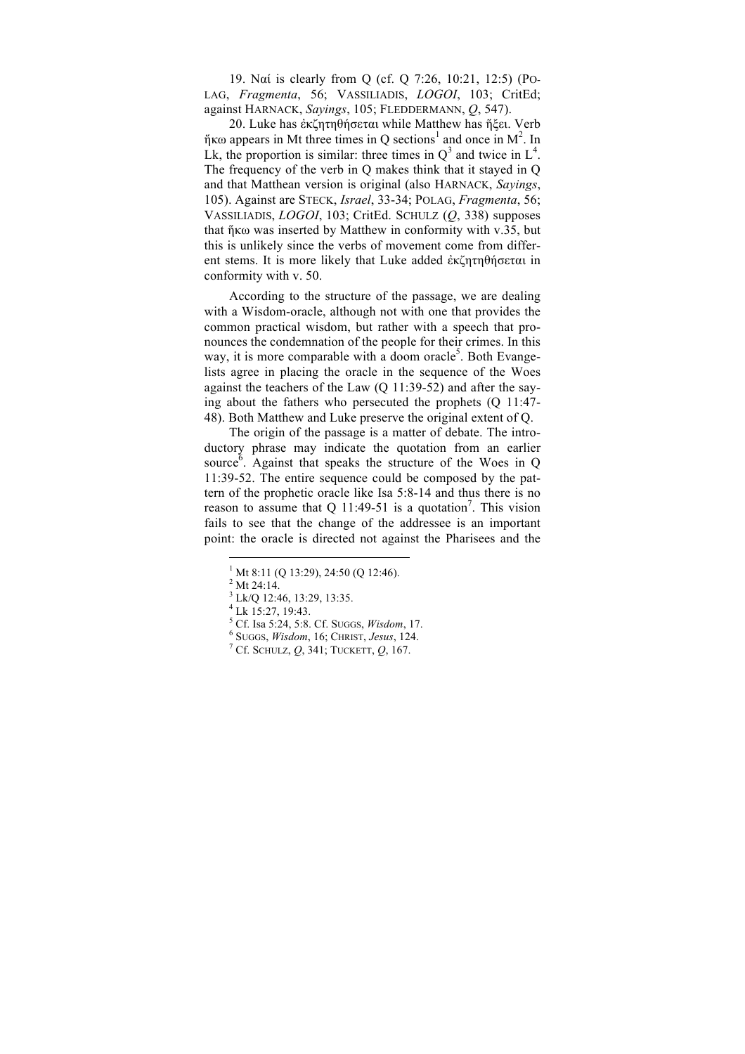19. Ναί is clearly from Q (cf. Q 7:26, 10:21, 12:5) (PO-LAG, *Fragmenta*, 56; VASSILIADIS, *LOGOI*, 103; CritEd; against HARNACK, *Sayings*, 105; FLEDDERMANN, *Q*, 547).

20. Luke has ἐκζητηθήσεται while Matthew has ἥξει. Verb  $\eta$ κω appears in Mt three times in Q sections<sup>1</sup> and once in M<sup>2</sup>. In Lk, the proportion is similar: three times in  $Q^3$  and twice in  $L^4$ . The frequency of the verb in Q makes think that it stayed in Q and that Matthean version is original (also HARNACK, *Sayings*, 105). Against are STECK, *Israel*, 33-34; POLAG, *Fragmenta*, 56; VASSILIADIS, *LOGOI*, 103; CritEd. SCHULZ (*Q*, 338) supposes that ἥκω was inserted by Matthew in conformity with v.35, but this is unlikely since the verbs of movement come from different stems. It is more likely that Luke added ἐκζητηθήσεται in conformity with v. 50.

According to the structure of the passage, we are dealing with a Wisdom-oracle, although not with one that provides the common practical wisdom, but rather with a speech that pronounces the condemnation of the people for their crimes. In this way, it is more comparable with a doom oracle<sup>5</sup>. Both Evangelists agree in placing the oracle in the sequence of the Woes against the teachers of the Law (Q 11:39-52) and after the saying about the fathers who persecuted the prophets (Q 11:47- 48). Both Matthew and Luke preserve the original extent of Q.

The origin of the passage is a matter of debate. The introductory phrase may indicate the quotation from an earlier source<sup> $\delta$ </sup>. Against that speaks the structure of the Woes in Q 11:39-52. The entire sequence could be composed by the pattern of the prophetic oracle like Isa 5:8-14 and thus there is no reason to assume that Q 11:49-51 is a quotation<sup>7</sup>. This vision fails to see that the change of the addressee is an important point: the oracle is directed not against the Pharisees and the

 $^{1}$  Mt 8:11 (Q 13:29), 24:50 (Q 12:46).

<sup>&</sup>lt;sup>2</sup> Mt 24:14.

 $3$  Lk/Q 12:46, 13:29, 13:35.<br>  $4$  Lk 15:27, 19:43.<br>  $5$  Cf. Isa 5:24, 5:8. Cf. Suggs, *Wisdom*, 17.

<sup>5</sup> Cf. Isa 5:24, 5:8. Cf. SUGGS, *Wisdom*, 17. <sup>6</sup> SUGGS, *Wisdom*, 16; CHRIST, *Jesus*, 124. <sup>7</sup> Cf. SCHULZ, *Q*, 341; TUCKETT, *Q*, 167.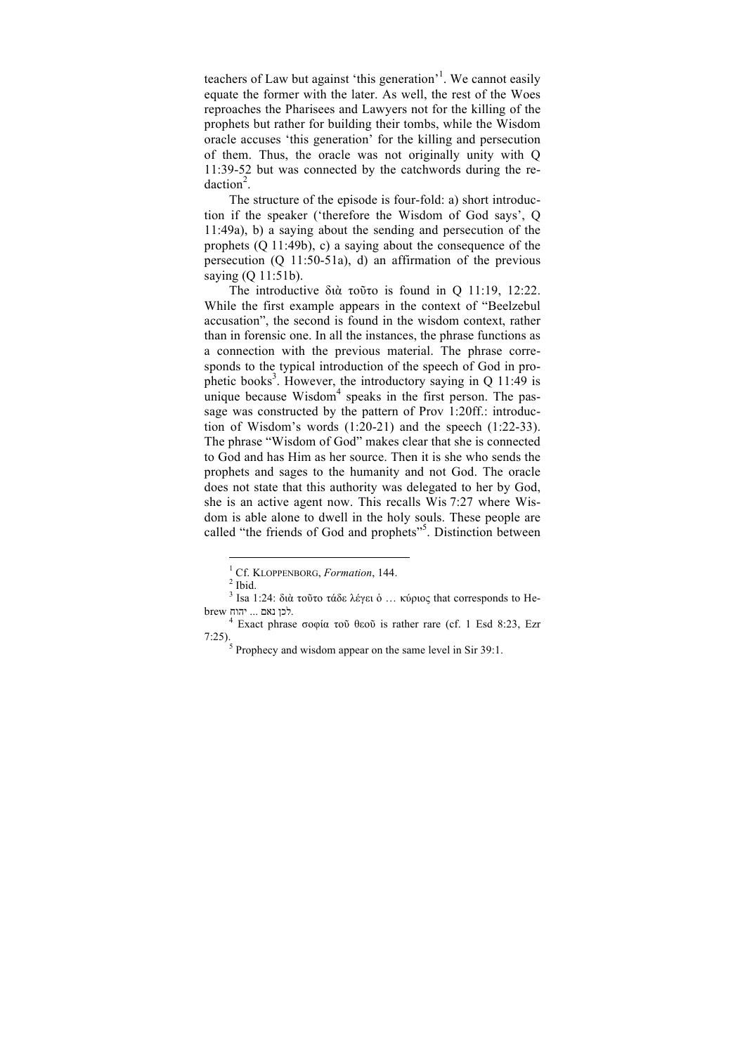teachers of Law but against 'this generation'<sup>1</sup>. We cannot easily equate the former with the later. As well, the rest of the Woes reproaches the Pharisees and Lawyers not for the killing of the prophets but rather for building their tombs, while the Wisdom oracle accuses 'this generation' for the killing and persecution of them. Thus, the oracle was not originally unity with Q 11:39-52 but was connected by the catchwords during the re $daction<sup>2</sup>$ .

The structure of the episode is four-fold: a) short introduction if the speaker ('therefore the Wisdom of God says', Q 11:49a), b) a saying about the sending and persecution of the prophets (Q 11:49b), c) a saying about the consequence of the persecution (Q 11:50-51a), d) an affirmation of the previous saying (Q 11:51b).

The introductive διὰ τοῦτο is found in Q 11:19, 12:22. While the first example appears in the context of "Beelzebul accusation", the second is found in the wisdom context, rather than in forensic one. In all the instances, the phrase functions as a connection with the previous material. The phrase corresponds to the typical introduction of the speech of God in prophetic books<sup>3</sup>. However, the introductory saying in Q 11:49 is unique because  $W$ isdom<sup>4</sup> speaks in the first person. The passage was constructed by the pattern of Prov 1:20ff.: introduction of Wisdom's words (1:20-21) and the speech (1:22-33). The phrase "Wisdom of God" makes clear that she is connected to God and has Him as her source. Then it is she who sends the prophets and sages to the humanity and not God. The oracle does not state that this authority was delegated to her by God, she is an active agent now. This recalls Wis 7:27 where Wisdom is able alone to dwell in the holy souls. These people are called "the friends of God and prophets"<sup>5</sup>. Distinction between

<sup>&</sup>lt;sup>1</sup> Cf. KLOPPENBORG, *Formation*, 144.<sup>2</sup> Ibid.

 $^3$ Isa 1:24: διὰ τοῦτο τάδε λέγει ὁ ... κύριος that corresponds to Hebrew יהוח... יהוח לכן נאם

<sup>&</sup>lt;sup>4</sup> Exact phrase σοφία τοῦ θεοῦ is rather rare (cf. 1 Esd 8:23, Ezr 7:25).<sup>5</sup> Prophecy and wisdom appear on the same level in Sir 39:1.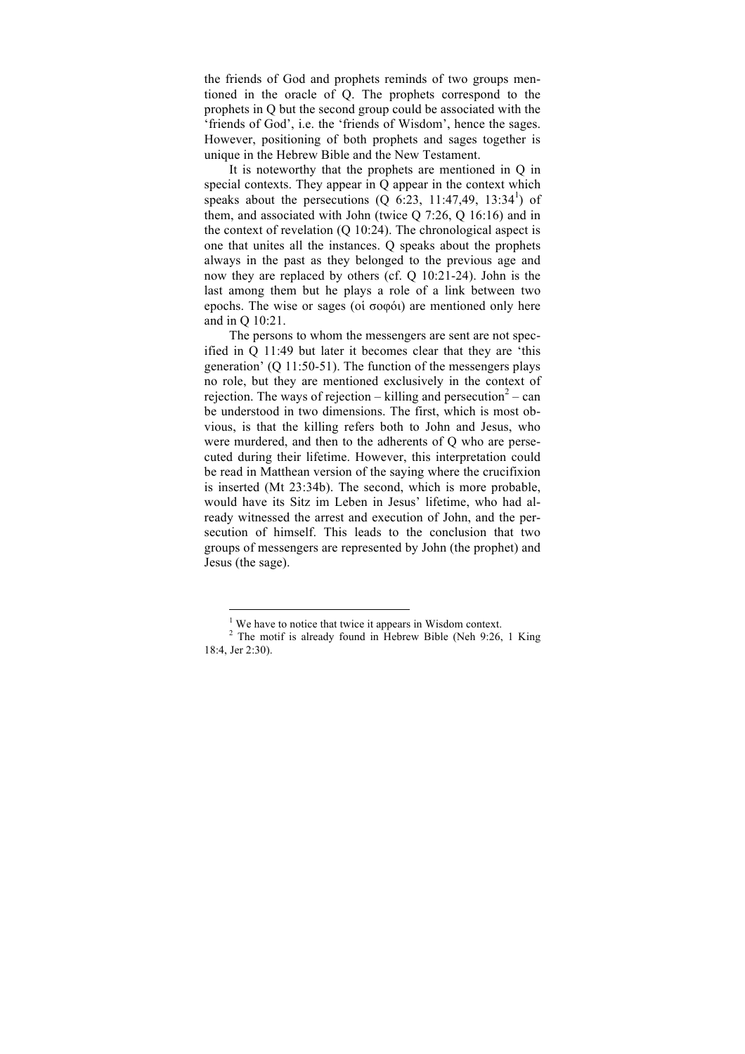the friends of God and prophets reminds of two groups mentioned in the oracle of Q. The prophets correspond to the prophets in Q but the second group could be associated with the 'friends of God', i.e. the 'friends of Wisdom', hence the sages. However, positioning of both prophets and sages together is unique in the Hebrew Bible and the New Testament.

It is noteworthy that the prophets are mentioned in Q in special contexts. They appear in Q appear in the context which speaks about the persecutions  $(Q_0 6:23, 11:47,49, 13:34^1)$  of them, and associated with John (twice Q 7:26, Q 16:16) and in the context of revelation (Q 10:24). The chronological aspect is one that unites all the instances. Q speaks about the prophets always in the past as they belonged to the previous age and now they are replaced by others (cf. Q 10:21-24). John is the last among them but he plays a role of a link between two epochs. The wise or sages (οἱ σοφόι) are mentioned only here and in Q 10:21.

The persons to whom the messengers are sent are not specified in Q 11:49 but later it becomes clear that they are 'this generation' (Q 11:50-51). The function of the messengers plays no role, but they are mentioned exclusively in the context of rejection. The ways of rejection – killing and persecution<sup>2</sup> – can be understood in two dimensions. The first, which is most obvious, is that the killing refers both to John and Jesus, who were murdered, and then to the adherents of Q who are persecuted during their lifetime. However, this interpretation could be read in Matthean version of the saying where the crucifixion is inserted (Mt 23:34b). The second, which is more probable, would have its Sitz im Leben in Jesus' lifetime, who had already witnessed the arrest and execution of John, and the persecution of himself. This leads to the conclusion that two groups of messengers are represented by John (the prophet) and Jesus (the sage).

 $<sup>1</sup>$  We have to notice that twice it appears in Wisdom context.</sup>

 $2$  The motif is already found in Hebrew Bible (Neh 9:26, 1 King 18:4, Jer 2:30).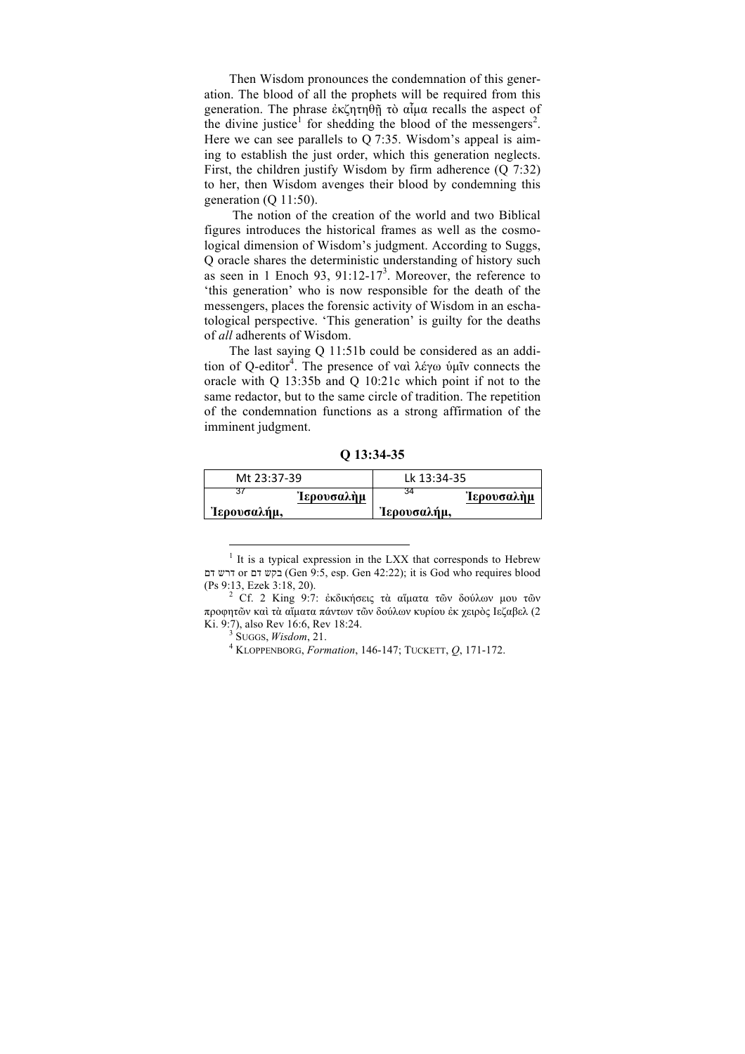Then Wisdom pronounces the condemnation of this generation. The blood of all the prophets will be required from this generation. The phrase ἐκζητηθῇ τὸ αἷµα recalls the aspect of the divine justice<sup>1</sup> for shedding the blood of the messengers<sup>2</sup>. Here we can see parallels to Q 7:35. Wisdom's appeal is aiming to establish the just order, which this generation neglects. First, the children justify Wisdom by firm adherence  $(Q \, 7:32)$ to her, then Wisdom avenges their blood by condemning this generation (Q 11:50).

The notion of the creation of the world and two Biblical figures introduces the historical frames as well as the cosmological dimension of Wisdom's judgment. According to Suggs, Q oracle shares the deterministic understanding of history such as seen in 1 Enoch 93,  $91:12-17<sup>3</sup>$ . Moreover, the reference to 'this generation' who is now responsible for the death of the messengers, places the forensic activity of Wisdom in an eschatological perspective. 'This generation' is guilty for the deaths of *all* adherents of Wisdom.

The last saying Q 11:51b could be considered as an addition of Q-editor<sup>4</sup>. The presence of ναὶ λέγω ὑμῖν connects the oracle with Q 13:35b and Q 10:21c which point if not to the same redactor, but to the same circle of tradition. The repetition of the condemnation functions as a strong affirmation of the imminent judgment.

**Q 13:34-35**

| Mt 23:37-39 |                   | Lk 13:34-35 |                   |
|-------------|-------------------|-------------|-------------------|
|             | <b>Ίερουσαλήμ</b> |             | <b>Ίερουσαλὴμ</b> |
| Ίερουσαλήμ, |                   | Ίερουσαλήμ, |                   |

 $1$  It is a typical expression in the LXX that corresponds to Hebrew דם דרש or דם בקש) Gen 9:5, esp. Gen 42:22); it is God who requires blood (Ps 9:13, Ezek 3:18, 20). <sup>2</sup> Cf. 2 King 9:7: ἐκδικήσεις τὰ αἵµατα τῶν δούλων <sup>µ</sup>ου τῶν

προφητῶν καὶ τὰ αἴματα πάντων τῶν δούλων κυρίου ἐκ χειρὸς Ιεζαβελ (2 Ki. 9:7), also Rev 16:6, Rev 18:24.

Ki. 9:7), also Rev 16:6, Rev 18:24. <sup>3</sup> SUGGS, *Wisdom*, 21. <sup>4</sup> KLOPPENBORG, *Formation*, 146-147; TUCKETT, *Q*, 171-172.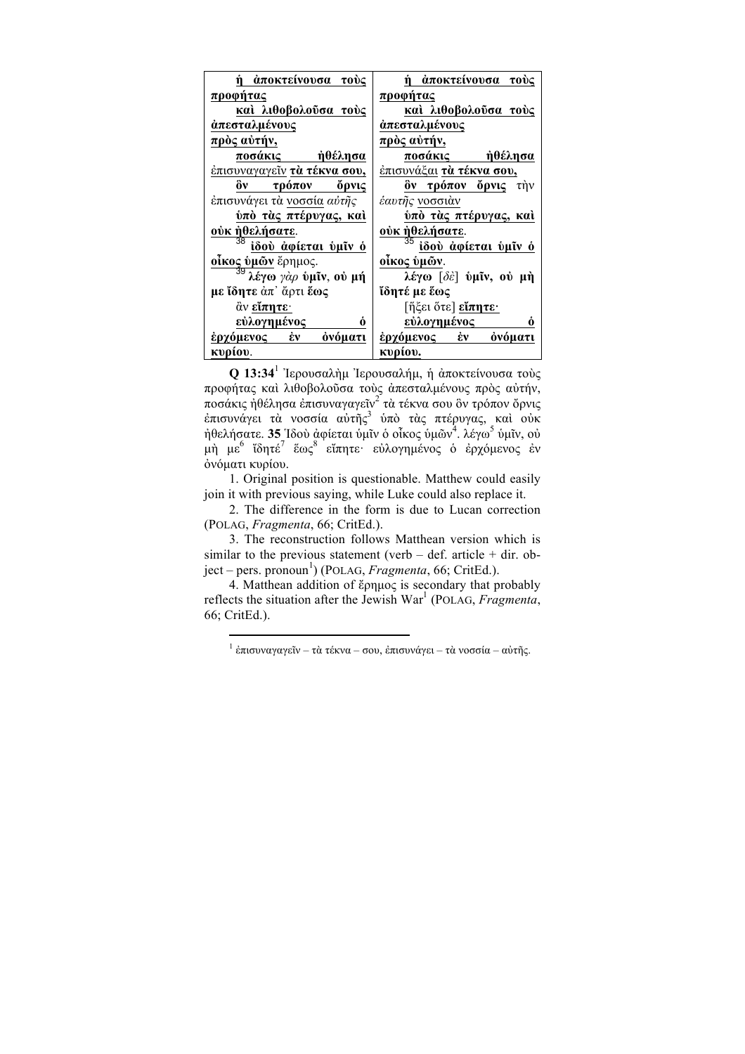| ń<br>άποκτείνουσα τούς                                                                                                                                                                                                                                                                                                                                                                                            | άποκτείνουσα τούς                                                |
|-------------------------------------------------------------------------------------------------------------------------------------------------------------------------------------------------------------------------------------------------------------------------------------------------------------------------------------------------------------------------------------------------------------------|------------------------------------------------------------------|
| προφήτας                                                                                                                                                                                                                                                                                                                                                                                                          | προφήτας                                                         |
| καί λιθοβολούσα τούς                                                                                                                                                                                                                                                                                                                                                                                              | καὶ λιθοβολοῦσα τοὺς                                             |
| άπεσταλμένους                                                                                                                                                                                                                                                                                                                                                                                                     | άπεσταλμένους                                                    |
| <u>πρὸς αὐτήν,</u>                                                                                                                                                                                                                                                                                                                                                                                                | <u>πρὸς αὐτήν,</u>                                               |
| ή <u>θέλησα</u><br>ποσάκις                                                                                                                                                                                                                                                                                                                                                                                        | <u>ποσάκις ήθέλ</u> ησα                                          |
| έπισυναγαγεῖν <b>τὰ τέκνα σου,</b>                                                                                                                                                                                                                                                                                                                                                                                | έπισυνάξαι <b>τὰ τέκνα σου,</b>                                  |
| ồν<br>τρόπον όρνις                                                                                                                                                                                                                                                                                                                                                                                                | ὃν τρόπον ὄρνις τὴν                                              |
| έπισυνάγει τὰ νοσσία αύτῆς                                                                                                                                                                                                                                                                                                                                                                                        | έαυτῆς <u>νοσσιὰν</u>                                            |
| ύπὸ τὰς πτέρυγας, καὶ                                                                                                                                                                                                                                                                                                                                                                                             | <u>ύπὸ τὰς πτέρυγας, καὶ</u>                                     |
| ούκ ήθελήσατε.                                                                                                                                                                                                                                                                                                                                                                                                    | <u>ούκ ήθελήσατε</u> .                                           |
| ίδού άφίεται ύμῖν ὁ                                                                                                                                                                                                                                                                                                                                                                                               | ίδού αφίεται ύμῖν ὁ                                              |
| $\frac{\tilde{\textbf{0}}\tilde{\textbf{1}}\textbf{K}\textbf{0}\textbf{c}}{39}$ $\frac{\tilde{\textbf{0}}\textbf{W}\tilde{\textbf{0}}\textbf{W}}{39}$ $\tilde{\textbf{0}}$ $\tilde{\textbf{0}}$ $\gamma$ $\alpha$ <i>ρ</i> $\tilde{\textbf{0}}$ $\tilde{\textbf{0}}$ $\tilde{\textbf{0}}$ $\tilde{\textbf{0}}$ $\tilde{\textbf{0}}$ $\tilde{\textbf{0}}$ $\tilde{\textbf{0}}$ $\tilde{\textbf{0}}$ $\tilde{\text$ | οἶκος ὑμῶν.                                                      |
|                                                                                                                                                                                                                                                                                                                                                                                                                   | λέγω $\lceil \delta \hat{\varepsilon} \rceil$ υμίν, ου μή        |
| με ίδητε άπ' ἄρτι ἕως                                                                                                                                                                                                                                                                                                                                                                                             | ἴδητέ με ἕως                                                     |
| $\ddot{\alpha}$ ν είπητε·                                                                                                                                                                                                                                                                                                                                                                                         | $\left\lceil \breve{\mathfrak{\eta}} \xi$ ει ὅτε] <b>εἶπητε·</b> |
| εὐλογημένος<br>Ò                                                                                                                                                                                                                                                                                                                                                                                                  | <u>εὐλογημένος -</u><br>Ó                                        |
| $\dot{\epsilon}$ v<br>όνόματι<br>έρχόμενος                                                                                                                                                                                                                                                                                                                                                                        | <u>έρχόμενος έν</u><br>όνόματι                                   |
| κυρίου.                                                                                                                                                                                                                                                                                                                                                                                                           | κυρίου.                                                          |

**Q 13:34**<sup>1</sup> Ἰερουσαλὴµ Ἰερουσαλήµ, ἡ ἀποκτείνουσα τοὺς προφήτας καὶ λιθοβολοῦσα τοὺς ἀπεσταλµένους πρὸς αὐτήν, ποσάκις ἠθέλησα ἐπισυναγαγεῖν<sup>2</sup> τὰ τέκνα σου ὃν τρόπον ὄρνις ἐπισυνάγει τὰ νοσσία αὐτῆς<sup>3</sup> ὑπὸ τὰς πτέρυγας, καὶ οὐκ ήθελήσατε. **35** Ίδοὺ ἀφίεται ὑμῖν ὁ οἶκος ὑμῶν<sup>4</sup>. λέγω<sup>5</sup> ὑμῖν, οὐ μὴ με<sup>6</sup> ἴδητέ<sup>7</sup> ἕως<sup>8</sup> εἴπητε· εὐλογημένος ὁ ἐρχόμενος ἐν ὀνόµατι κυρίου.

1. Original position is questionable. Matthew could easily join it with previous saying, while Luke could also replace it.

2. The difference in the form is due to Lucan correction (POLAG, *Fragmenta*, 66; CritEd.).

3. The reconstruction follows Matthean version which is similar to the previous statement (verb  $-$  def. article  $+$  dir. object – pers. pronoun 1 ) (POLAG, *Fragmenta*, 66; CritEd.).

4. Matthean addition of ἔρηµος is secondary that probably reflects the situation after the Jewish War<sup>1</sup> (POLAG, *Fragmenta*, 66; CritEd.).

 $^{-1}$  ἐπισυναγαγεῖν – τὰ τέκνα – σου, ἐπισυνάγει – τὰ νοσσία – αὐτῆς.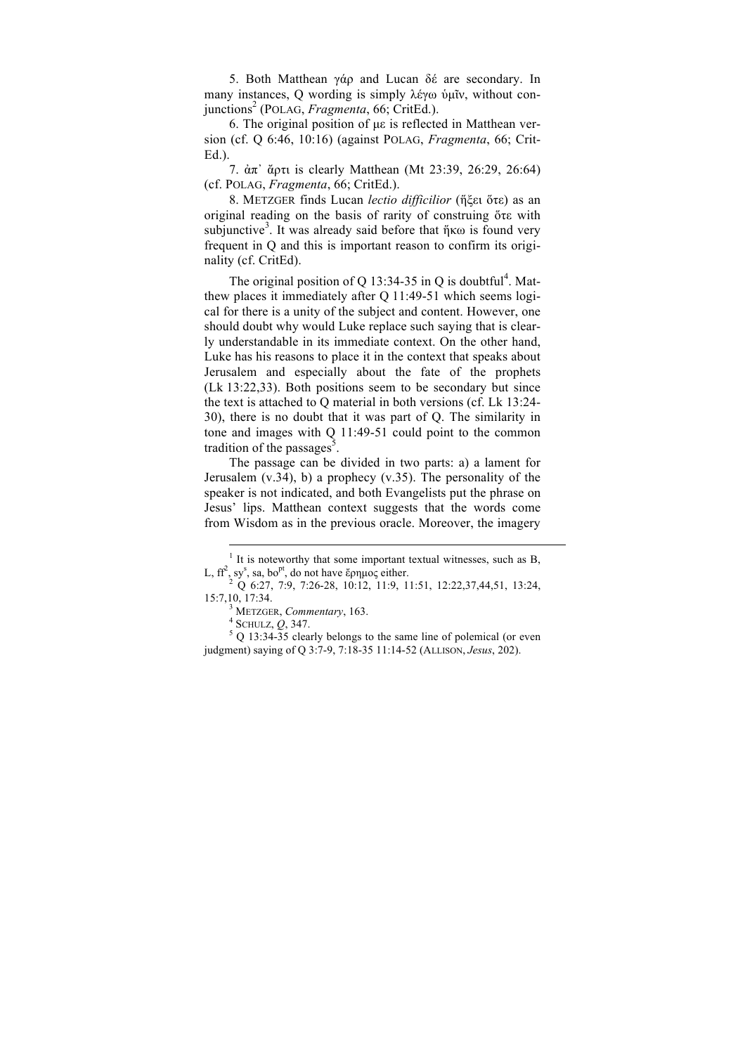5. Both Matthean γάρ and Lucan δέ are secondary. In many instances, O wording is simply λέγω ὑμῖν, without conjunctions2 (POLAG, *Fragmenta*, 66; CritEd.).

6. The original position of µε is reflected in Matthean version (cf. Q 6:46, 10:16) (against POLAG, *Fragmenta*, 66; Crit-Ed.).

7. ἀπ᾽ ἄρτι is clearly Matthean (Mt 23:39, 26:29, 26:64) (cf. POLAG, *Fragmenta*, 66; CritEd.).

8. METZGER finds Lucan *lectio difficilior* (ἥξει ὅτε) as an original reading on the basis of rarity of construing ὅτε with subjunctive<sup>3</sup>. It was already said before that ήκω is found very frequent in Q and this is important reason to confirm its originality (cf. CritEd).

The original position of Q 13:34-35 in Q is doubtful<sup>4</sup>. Matthew places it immediately after Q 11:49-51 which seems logical for there is a unity of the subject and content. However, one should doubt why would Luke replace such saying that is clearly understandable in its immediate context. On the other hand, Luke has his reasons to place it in the context that speaks about Jerusalem and especially about the fate of the prophets (Lk 13:22,33). Both positions seem to be secondary but since the text is attached to Q material in both versions (cf. Lk 13:24- 30), there is no doubt that it was part of Q. The similarity in tone and images with Q 11:49-51 could point to the common tradition of the passages<sup>5</sup>.

The passage can be divided in two parts: a) a lament for Jerusalem  $(v.34)$ , b) a prophecy  $(v.35)$ . The personality of the speaker is not indicated, and both Evangelists put the phrase on Jesus' lips. Matthean context suggests that the words come from Wisdom as in the previous oracle. Moreover, the imagery

 $<sup>1</sup>$  It is noteworthy that some important textual witnesses, such as B,</sup>  $L, ff^2, sy^s$ 

 $^{2}$  Q 6:27, 7:9, 7:26-28, 10:12, 11:9, 11:51, 12:22,37,44,51, 13:24, 15:7,10, 17:34.

<sup>&</sup>lt;sup>3</sup> METZGER, *Commentary*, 163.<br>
<sup>4</sup> SCHULZ, *Q*, 347.<br>
<sup>5</sup> Q 13:34-35 clearly belongs to the same line of polemical (or even judgment) saying of Q 3:7-9, 7:18-35 11:14-52 (ALLISON, *Jesus*, 202).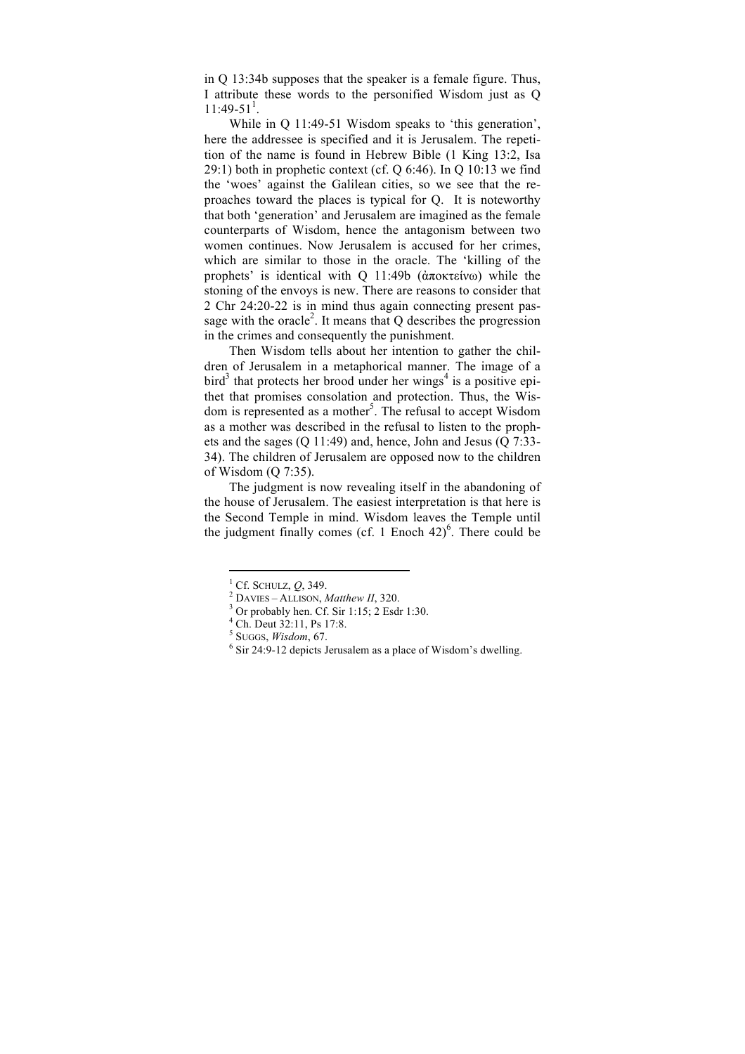in Q 13:34b supposes that the speaker is a female figure. Thus, I attribute these words to the personified Wisdom just as Q  $11:49-51<sup>1</sup>$ .

While in Q 11:49-51 Wisdom speaks to 'this generation', here the addressee is specified and it is Jerusalem. The repetition of the name is found in Hebrew Bible (1 King 13:2, Isa 29:1) both in prophetic context (cf. Q 6:46). In Q 10:13 we find the 'woes' against the Galilean cities, so we see that the reproaches toward the places is typical for Q. It is noteworthy that both 'generation' and Jerusalem are imagined as the female counterparts of Wisdom, hence the antagonism between two women continues. Now Jerusalem is accused for her crimes, which are similar to those in the oracle. The 'killing of the prophets' is identical with Q 11:49b (ἀποκτείνω) while the stoning of the envoys is new. There are reasons to consider that 2 Chr 24:20-22 is in mind thus again connecting present passage with the oracle<sup>2</sup>. It means that  $Q$  describes the progression in the crimes and consequently the punishment.

Then Wisdom tells about her intention to gather the children of Jerusalem in a metaphorical manner. The image of a  $bird<sup>3</sup>$  that protects her brood under her wings<sup>4</sup> is a positive epithet that promises consolation and protection. Thus, the Wisdom is represented as a mother<sup>5</sup>. The refusal to accept Wisdom as a mother was described in the refusal to listen to the prophets and the sages (Q 11:49) and, hence, John and Jesus (Q 7:33- 34). The children of Jerusalem are opposed now to the children of Wisdom (Q 7:35).

The judgment is now revealing itself in the abandoning of the house of Jerusalem. The easiest interpretation is that here is the Second Temple in mind. Wisdom leaves the Temple until the judgment finally comes (cf. 1 Enoch  $42)$ <sup>6</sup>. There could be

<sup>&</sup>lt;sup>1</sup> Cf. SCHULZ, *Q*, 349.<br>
<sup>2</sup> DAVIES – ALLISON, *Matthew II*, 320.<br>
<sup>3</sup> Or probably hen. Cf. Sir 1:15; 2 Esdr 1:30.<br>
<sup>4</sup> Ch. Deut 32:11, Ps 17:8.<br>
<sup>5</sup> SUGGS, *Wisdom*, 67.

<sup>&</sup>lt;sup>6</sup> Sir 24:9-12 depicts Jerusalem as a place of Wisdom's dwelling.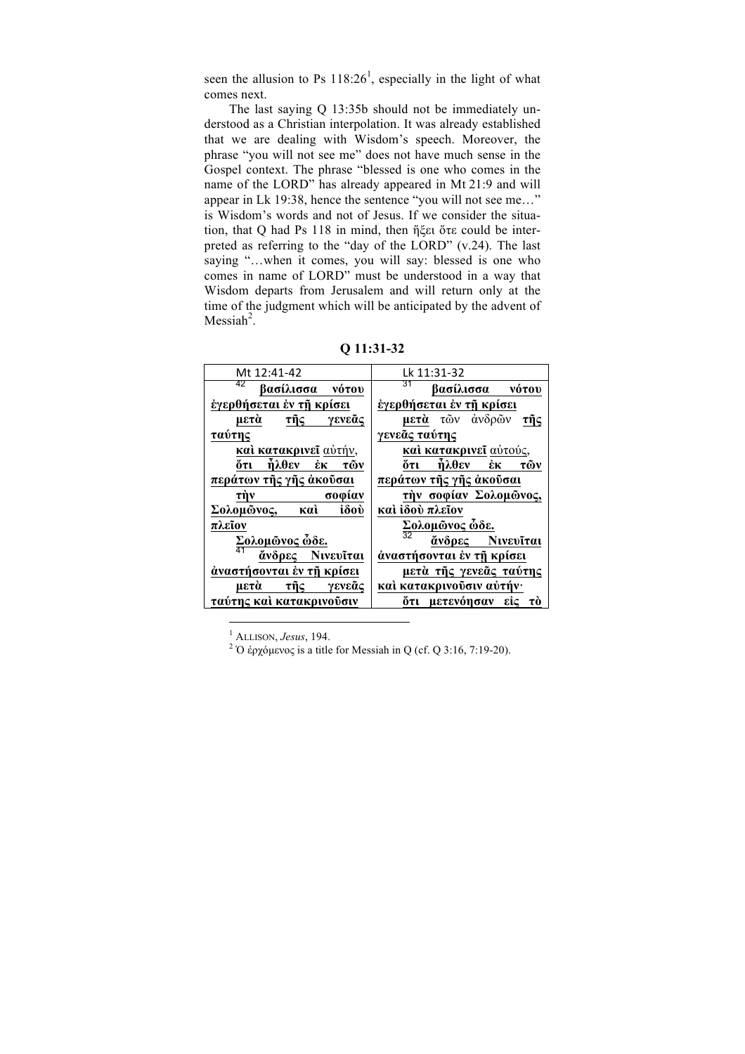seen the allusion to Ps  $118:26<sup>1</sup>$ , especially in the light of what comes next.

The last saying Q 13:35b should not be immediately understood as a Christian interpolation. It was already established that we are dealing with Wisdom's speech. Moreover, the phrase "you will not see me" does not have much sense in the Gospel context. The phrase "blessed is one who comes in the name of the LORD" has already appeared in Mt 21:9 and will appear in Lk 19:38, hence the sentence "you will not see me…" is Wisdom's words and not of Jesus. If we consider the situation, that Q had Ps 118 in mind, then ἥξει ὅτε could be interpreted as referring to the "day of the LORD" (v.24). The last saying "…when it comes, you will say: blessed is one who comes in name of LORD" must be understood in a way that Wisdom departs from Jerusalem and will return only at the time of the judgment which will be anticipated by the advent of Messiah $2$ .

| Q 11:31-32 |  |
|------------|--|
|------------|--|

| Mt 12:41-42                      | Lk 11:31-32                                                           |
|----------------------------------|-----------------------------------------------------------------------|
| 42<br>βασίλισσα νότου            | 31<br>βασίλισσα νότου                                                 |
| έγερθήσεται έν τῆ κρίσει         | έγερθήσεται έν τῆ κρίσει                                              |
| τῆ $\varsigma$<br>γενεᾶς<br>μετά | μετά τῶν ἀνδρῶν<br>τῆς                                                |
| ταύτης                           | γενεᾶς ταύτης                                                         |
| καί κατακρινεῖ αὐτήν,            | καὶ κατακρινεῖ αὐτούς,                                                |
| δτι<br>ήλθεν<br>ĚК<br>τῶν        | őτι<br>ήλθεν<br>ἐк<br>τῶν                                             |
| περάτων τῆς γῆς ἀκοῦσαι          | περάτων τῆς γῆς ἀκοῦσαι                                               |
| σοφίαν<br>τήν                    | τήν σοφίαν Σολομώνος,                                                 |
| iδoù<br>Σολομώνος, καὶ           | καὶ ἰδού πλεΐον                                                       |
| πλεῖον                           | $\frac{\sum \Omega \lambda o \mu \tilde{\omega} \nu o \varsigma}{32}$ |
| Σολομώνος ώδε.                   | άνδρες Νινευΐται                                                      |
| 41<br>άνδρες Νινευΐται           | άναστήσονται έν τη κρίσει                                             |
| άναστήσονται έν τη κρίσει        | μετὰ τῆς γενεᾶς ταύτης                                                |
| τῆς γενεᾶς<br>μετὰ               | καί κατακρινούσιν αύτήν·                                              |
| ταύτης και κατακρινούσιν         | ότι μετενόησαν είς το                                                 |

 $1$  ALLISON, *Jesus*, 194.

<sup>2</sup> Ό ἐρχόμενος is a title for Messiah in Q (cf. Q 3:16, 7:19-20).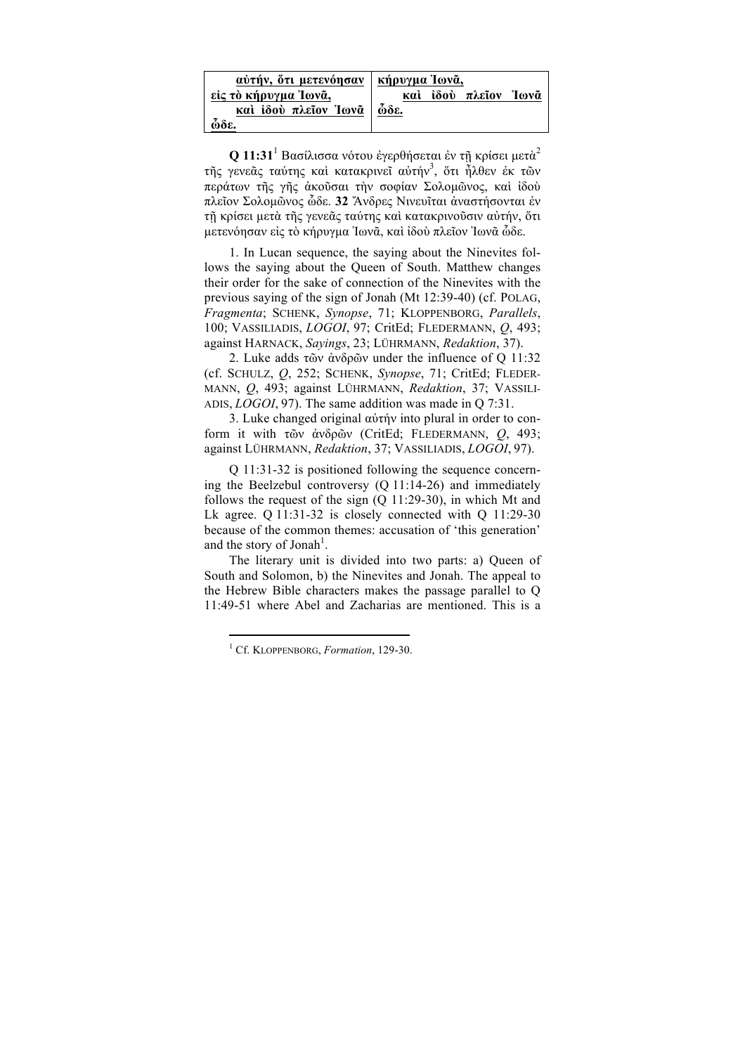| αύτήν, ότι μετενόησαν                        | κήρυγμα Ίωνᾶ,                                |
|----------------------------------------------|----------------------------------------------|
| είς τὸ κήρυγμα Ἰωνᾶ,<br>και ίδου πλεΐον Ίωνᾶ | και ίδου πλεΐον Ίωνα<br>$\tilde{\omega}$ δε. |
| ὧδε.                                         |                                              |

**Q 11:31**<sup>1</sup> Bασίλισσα νότου ἐγερθήσεται ἐν τῇ κρίσει µετὰ<sup>2</sup> τῆς γενεᾶς ταύτης καὶ κατακρινεῖ αὐτήν<sup>3</sup>, ὅτι ἦλθεν ἐκ τῶν περάτων τῆς γῆς ἀκοῦσαι τὴν σοφίαν Σολοµῶνος, καὶ ἰδοὺ πλεῖον Σολοµῶνος ὧδε. **32** Ἄνδρες Νινευῖται ἀναστήσονται ἐν τῇ κρίσει µετὰ τῆς γενεᾶς ταύτης καὶ κατακρινοῦσιν αὐτήν, ὅτι µετενόησαν εἰς τὸ κήρυγµα Ἰωνᾶ, καὶ ἰδοὺ πλεῖον Ἰωνᾶ ὧδε.

1. In Lucan sequence, the saying about the Ninevites follows the saying about the Queen of South. Matthew changes their order for the sake of connection of the Ninevites with the previous saying of the sign of Jonah (Mt 12:39-40) (cf. POLAG, *Fragmenta*; SCHENK, *Synopse*, 71; KLOPPENBORG, *Parallels*, 100; VASSILIADIS, *LOGOI*, 97; CritEd; FLEDERMANN, *Q*, 493; against HARNACK, *Sayings*, 23; LÜHRMANN, *Redaktion*, 37).

2. Luke adds τῶν ἀνδρῶν under the influence of Q 11:32 (cf. SCHULZ, *Q*, 252; SCHENK, *Synopse*, 71; CritEd; FLEDER-MANN, *Q*, 493; against LÜHRMANN, *Redaktion*, 37; VASSILI-ADIS, *LOGOI*, 97). The same addition was made in Q 7:31.

3. Luke changed original αὐτήν into plural in order to conform it with τῶν ἀνδρῶν (CritEd; FLEDERMANN, *Q*, 493; against LÜHRMANN, *Redaktion*, 37; VASSILIADIS, *LOGOI*, 97).

Q 11:31-32 is positioned following the sequence concerning the Beelzebul controversy (Q 11:14-26) and immediately follows the request of the sign (Q 11:29-30), in which Mt and Lk agree.  $Q$  11:31-32 is closely connected with  $Q$  11:29-30 because of the common themes: accusation of 'this generation' and the story of Jonah<sup>1</sup>.

The literary unit is divided into two parts: a) Queen of South and Solomon, b) the Ninevites and Jonah. The appeal to the Hebrew Bible characters makes the passage parallel to Q 11:49-51 where Abel and Zacharias are mentioned. This is a

<sup>1</sup> Cf. KLOPPENBORG, *Formation*, 129-30.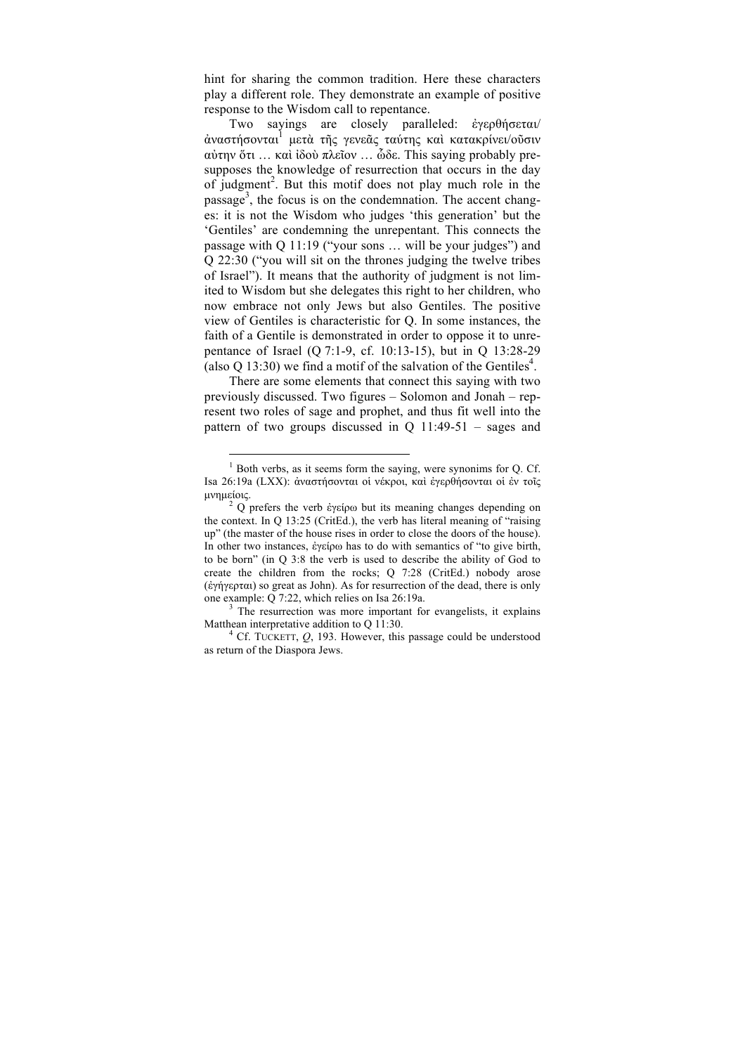hint for sharing the common tradition. Here these characters play a different role. They demonstrate an example of positive response to the Wisdom call to repentance.

Two sayings are closely paralleled: ἐγερθήσεται/ άναστήσονται<sup>1</sup> μετὰ τῆς γενεᾶς ταύτης καὶ κατακρίνει/οῦσιν αὐτην ὅτι … καὶ ἰδοὺ πλεῖον … ὧδε. This saying probably presupposes the knowledge of resurrection that occurs in the day of judgment<sup>2</sup>. But this motif does not play much role in the passage<sup>3</sup>, the focus is on the condemnation. The accent changes: it is not the Wisdom who judges 'this generation' but the 'Gentiles' are condemning the unrepentant. This connects the passage with Q 11:19 ("your sons … will be your judges") and Q 22:30 ("you will sit on the thrones judging the twelve tribes of Israel"). It means that the authority of judgment is not limited to Wisdom but she delegates this right to her children, who now embrace not only Jews but also Gentiles. The positive view of Gentiles is characteristic for Q. In some instances, the faith of a Gentile is demonstrated in order to oppose it to unrepentance of Israel (Q 7:1-9, cf. 10:13-15), but in Q 13:28-29 (also Q 13:30) we find a motif of the salvation of the Gentiles<sup>4</sup>.

There are some elements that connect this saying with two previously discussed. Two figures – Solomon and Jonah – represent two roles of sage and prophet, and thus fit well into the pattern of two groups discussed in  $Q$  11:49-51 – sages and

 $\overline{a}$ 

<sup>3</sup> The resurrection was more important for evangelists, it explains Matthean interpretative addition to Q 11:30.<br><sup>4</sup> Cf. TUCKETT, *Q*, 193. However, this passage could be understood

as return of the Diaspora Jews.

 $<sup>1</sup>$  Both verbs, as it seems form the saying, were synonims for Q. Cf.</sup> Isa 26:19a (LXX): ἀναστήσονται οἱ νέκροι, καὶ ἐγερθήσονται οἱ ἐν τοῖς μνημείοις.<br><sup>2</sup> Q prefers the verb ἐγείρω but its meaning changes depending on

the context. In Q 13:25 (CritEd.), the verb has literal meaning of "raising up" (the master of the house rises in order to close the doors of the house). In other two instances, ἐγείρω has to do with semantics of "to give birth, to be born" (in Q 3:8 the verb is used to describe the ability of God to create the children from the rocks; Q 7:28 (CritEd.) nobody arose (ἐγήγερται) so great as John). As for resurrection of the dead, there is only one example: O 7:22, which relies on Isa 26:19a.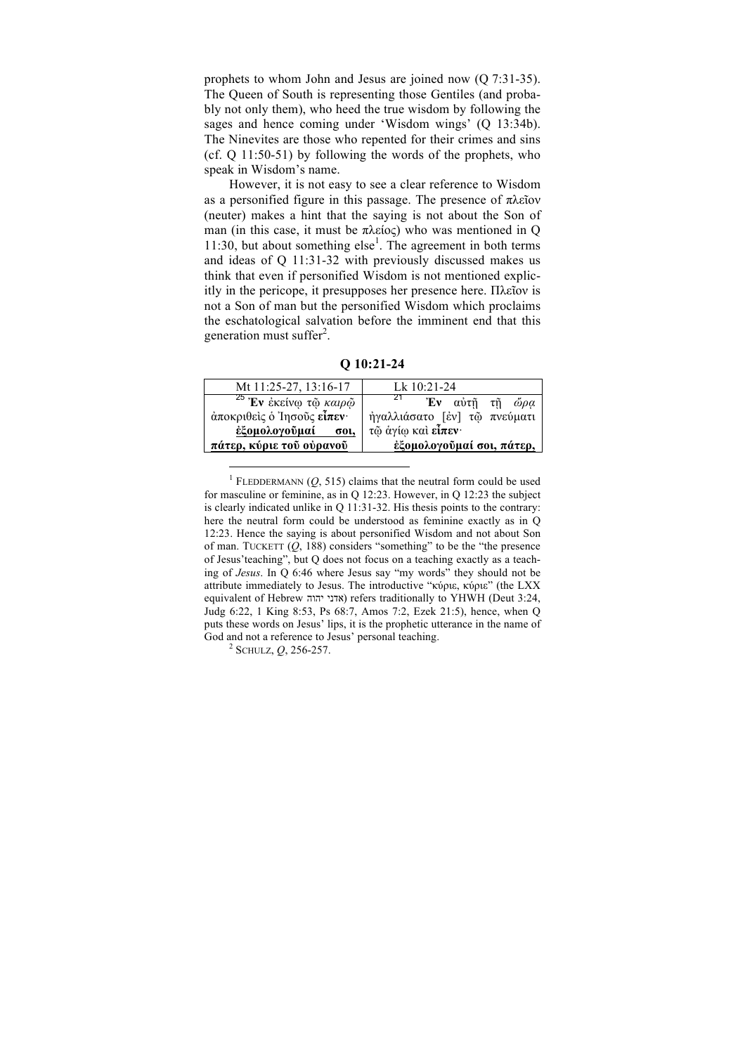prophets to whom John and Jesus are joined now (Q 7:31-35). The Queen of South is representing those Gentiles (and probably not only them), who heed the true wisdom by following the sages and hence coming under 'Wisdom wings' (Q 13:34b). The Ninevites are those who repented for their crimes and sins (cf. Q 11:50-51) by following the words of the prophets, who speak in Wisdom's name.

However, it is not easy to see a clear reference to Wisdom as a personified figure in this passage. The presence of πλεῖον (neuter) makes a hint that the saying is not about the Son of man (in this case, it must be  $\pi \lambda \varepsilon$ ioc) who was mentioned in Q 11:30, but about something  $else<sup>1</sup>$ . The agreement in both terms and ideas of Q 11:31-32 with previously discussed makes us think that even if personified Wisdom is not mentioned explicitly in the pericope, it presupposes her presence here. Πλεῖον is not a Son of man but the personified Wisdom which proclaims the eschatological salvation before the imminent end that this generation must suffer<sup>2</sup>.

**Q 10:21-24**

| Lk $10:21-24$                  |
|--------------------------------|
| Έν αύτη τη ώρα                 |
| ήγαλλιάσατο [έν] τ<br>πνεύματι |
| τῷ ἀγίφ και είπεν              |
| έξομολογούμαί σοι, πάτερ,      |
|                                |
|                                |

<sup>&</sup>lt;sup>1</sup> FLEDDERMANN  $(0, 515)$  claims that the neutral form could be used for masculine or feminine, as in Q 12:23. However, in Q 12:23 the subject is clearly indicated unlike in Q 11:31-32. His thesis points to the contrary: here the neutral form could be understood as feminine exactly as in Q 12:23. Hence the saying is about personified Wisdom and not about Son of man. TUCKETT  $(Q, 188)$  considers "something" to be the "the presence of Jesus'teaching", but Q does not focus on a teaching exactly as a teaching of *Jesus*. In Q 6:46 where Jesus say "my words" they should not be attribute immediately to Jesus. The introductive "κύριε, κύριε" (the LXX equivalent of Hebrew יהוה אדני (refers traditionally to YHWH (Deut 3:24, Judg 6:22, 1 King 8:53, Ps 68:7, Amos 7:2, Ezek 21:5), hence, when Q puts these words on Jesus' lips, it is the prophetic utterance in the name of God and not a reference to Jesus' personal teaching. <sup>2</sup> SCHULZ, *Q*, 256-257.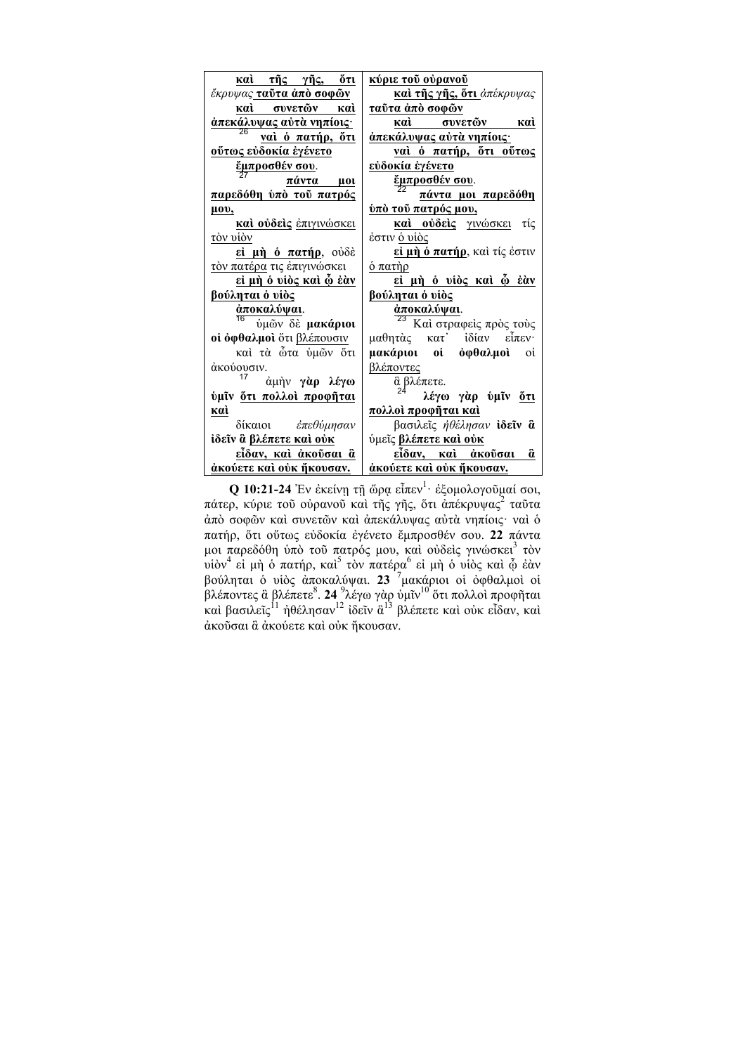| <u>καὶ τῆς γῆς, ὅτι</u>              | <u>κύριε τοῦ οὐρανοῦ</u>        |
|--------------------------------------|---------------------------------|
| έκρυψας <b>ταῦτα ἀπὸ σοφῶν</b>       | και της γης, ότι άπέκρυψας      |
| καὶ συνετῶν<br>кaì                   | τα <u>ύτα άπὸ σοφῶν</u>         |
| άπεκάλυψας αύτα νηπίοις·             | καὶ συνετῶν καὶ                 |
| <u>ναὶ ὁ πατήρ, ὅτι</u>              | <u>ἀπεκάλυψας αὐτὰ νηπίοις·</u> |
| <u>ούτως εύδοκία έγένετο</u>         | <u>ναὶ ὁ πατήρ, ὅτι οὕτως</u>   |
| <u>έμπροσθέν σου</u> .               | <u>εὐδοκία ἐγένετο</u>          |
| πάντα μοι                            | <u>έμπροσθέν σου</u> .          |
| παρεδόθη ύπο του πατρός              | πάντα μοι παρεδόθη              |
| μου,                                 | <u>ύπὸ τοῦ πατρός μου,</u>      |
| <b>καί ούδεις</b> <i>έπιγινώσκει</i> | καί ούδείς γινώσκει τίς         |
| <u>τὸν υἱ</u> ὸν                     | έστιν <u>ὁ υἱὸς</u>             |
| εί μή ό πατήρ, ούδέ                  | εί μή ό πατήρ, καὶ τίς ἐστιν    |
| τον πατέρα τις έπιγινώσκει           | <u>ό πατὴρ</u>                  |
| <u>εί μὴ ὁ υἱὸς καὶ ῷ ἐὰν</u>        | <u>εί μή ό υίὸς καὶ φ έὰν</u>   |
| <u>βούληται ὁ υἱὸς</u>               | <u>βούληται ὁ υἱὸς</u>          |
| <u>άποκαλύψαι</u> .                  | $\frac{\dot{a}\pi$ οκαλύψαι.    |
| ύμῶν δε μακάριοι                     | Καί στραφείς πρός τούς          |
| οί όφθαλμοί ὅτι βλέπουσιν            | μαθητὰς κατ' ἰδίαν εἶπεν·       |
| καὶ τὰ ὦτα ὑμῶν ὅτι                  | <b>μακάριοι οἱ ὀφθαλμοὶ</b> οἱ  |
| άκούουσιν.                           | <u>βλέποντες</u>                |
| άμήν γάρ λέγω                        | δ βλέπετε.<br>24                |
| ύμίν δτι πολλοί προφήται             | λέγω γὰρ ὑμῖν <u>ὅτι</u>        |
| кaì                                  | <u>πολλοί προφήται καὶ</u>      |
| δίκαιοι έπεθύμησαν                   | βασιλεΐς ήθέλησαν ίδεΐν δι      |
| ίδεῖν ἃ βλέπετε καὶ ούκ              | ύμεῖς βλέπετε καὶ οὐκ           |
| εἶδαν, καὶ ἀκοῦσαι ἃ                 | είδαν, καὶ ἀκοῦσαι ἃ            |
| άκούετε καὶ οὐκ ἤκουσαν.             | άκούετε καὶ οὐκ ἤκουσαν.        |

**Q 10:21-24** Ἐν ἐκείνῃ τῇ ὥρᾳ εἶπεν<sup>1</sup> · ἐξοµολογοῦµαί σοι, πάτερ, κύριε τοῦ οὐρανοῦ καὶ τῆς γῆς, ὅτι ἀπέκρυψας<sup>2</sup> ταῦτα ἀπὸ σοφῶν καὶ συνετῶν καὶ ἀπεκάλυψας αὐτὰ νηπίοις· ναὶ ὁ πατήρ, ὅτι οὕτως εὐδοκία ἐγένετο ἔµπροσθέν σου. **22** πάντα μοι παρεδόθη ὑπὸ τοῦ πατρός μου, καὶ οὐδεὶς γινώσκει<sup>3</sup> τὸν .<br>υἱὸν<sup>4</sup> εἰ μὴ ὁ πατήρ, καὶ<sup>5</sup> τὸν πατέρα<sup>6</sup> εἰ μὴ ὁ υἱὸς καὶ ῷ ἐὰν βούληται ὁ υἱὸς ἀποκαλύψαι. **23** <sup>7</sup> µακάριοι οἱ ὀφθαλµοὶ οἱ .<br>βλέποντες ἃ βλέπετε<sup>8</sup>. **24** <sup>9</sup>λέγω γὰρ ὑμῖν<sup>10</sup> ὅτι πολλοὶ προφῆται καὶ βασιλεῖς<sup>11</sup> ἠθέλησαν<sup>12</sup> ἰδεῖν ἃ<sup>13</sup> βλέπετε καὶ οὐκ εἶδαν, καὶ ἀκοῦσαι ἃ ἀκούετε καὶ οὐκ ἤκουσαν.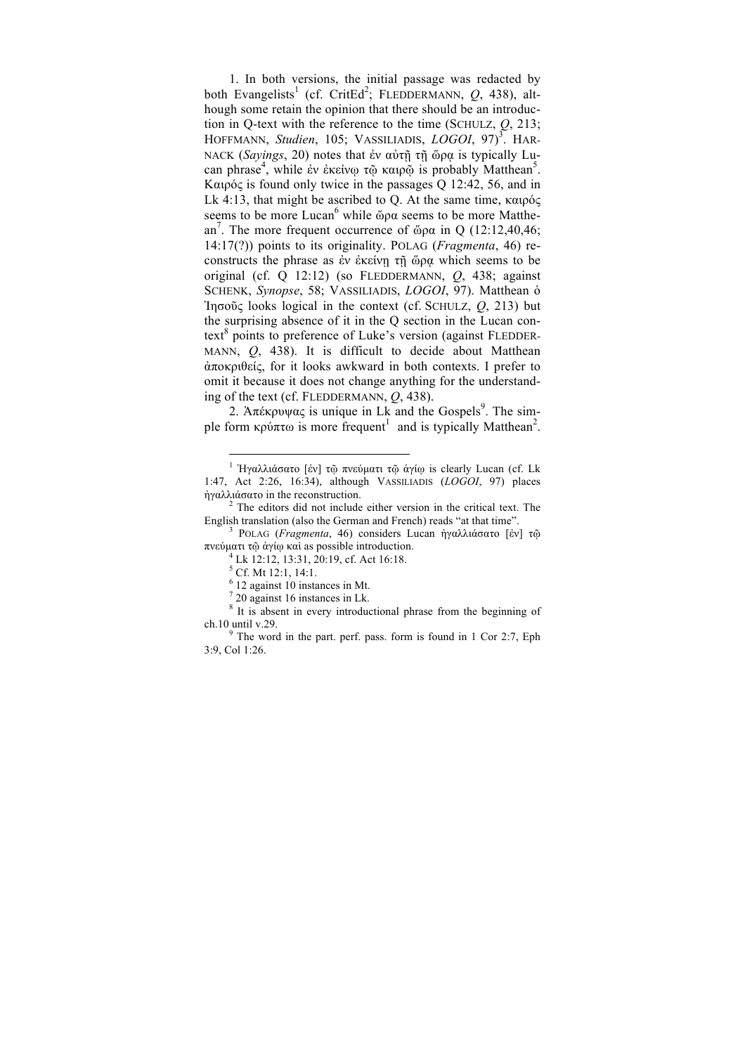1. In both versions, the initial passage was redacted by both Evangelists<sup>1</sup> (cf. CritEd<sup>2</sup>; FLEDDERMANN, Q, 438), although some retain the opinion that there should be an introduction in Q-text with the reference to the time (SCHULZ, *Q*, 213; HOFFMANN, *Studien*, 105; VASSILIADIS, *LOGOI*, 97)<sup>3</sup> . HAR-NACK (*Sayings*, 20) notes that ἐν αὐτῇ τῇ ὥρᾳ is typically Lucan phrase<sup>4</sup> , while ἐν ἐκείνῳ τῷ καιρῷ is probably Matthean<sup>5</sup> . Καιρός is found only twice in the passages Q 12:42, 56, and in Lk 4:13, that might be ascribed to Q. At the same time, καιρός seems to be more Lucan<sup>6</sup> while ὥρα seems to be more Matthean<sup>7</sup>. The more frequent occurrence of ὤρα in Q (12:12,40,46; 14:17(?)) points to its originality. POLAG (*Fragmenta*, 46) reconstructs the phrase as ἐν ἐκείνῃ τῇ ὥρᾳ which seems to be original (cf. Q 12:12) (so FLEDDERMANN, *Q*, 438; against SCHENK, *Synopse*, 58; VASSILIADIS, *LOGOI*, 97). Matthean ὁ Ἰησοῦς looks logical in the context (cf. SCHULZ, *Q*, 213) but the surprising absence of it in the Q section in the Lucan context<sup>8</sup> points to preference of Luke's version (against FLEDDER-MANN, *Q*, 438). It is difficult to decide about Matthean ἀποκριθείς, for it looks awkward in both contexts. I prefer to omit it because it does not change anything for the understanding of the text (cf. FLEDDERMANN, *Q*, 438).

2. Άπέκρυψας is unique in Lk and the Gospels<sup>9</sup>. The simple form κρύπτω is more frequent<sup>1</sup> and is typically Matthean<sup>2</sup>.

<sup>&</sup>lt;sup>1</sup> Ήγαλλιάσατο [ἐν] τῷ πνεύματι τῷ ἀγίῳ is clearly Lucan (cf. Lk 1:47, Act 2:26, 16:34), although VASSILIADIS (*LOGOI*, 97) places

 $\frac{1}{2}$  The editors did not include either version in the critical text. The  $\frac{2}{\pi}$  The editors did not include either version in the critical text. English translation (also the German and French) reads "at that time". <sup>3</sup> POLAG (*Fragmenta*, 46) considers Lucan ἠγαλλιάσατο [ἐν] τῷ

πνεύµατι τῷ ἁγίῳ καὶ as possible introduction. <sup>4</sup> Lk 12:12, 13:31, 20:19, cf. Act 16:18.

<sup>5</sup> Cf. Mt 12:1, 14:1.

 $6$  12 against 10 instances in Mt.

 $720$  against 16 instances in Lk.

<sup>&</sup>lt;sup>8</sup> It is absent in every introductional phrase from the beginning of ch.10 until v.29. <sup>9</sup> The word in the part. perf. pass. form is found in 1 Cor 2:7, Eph

<sup>3:9,</sup> Col 1:26.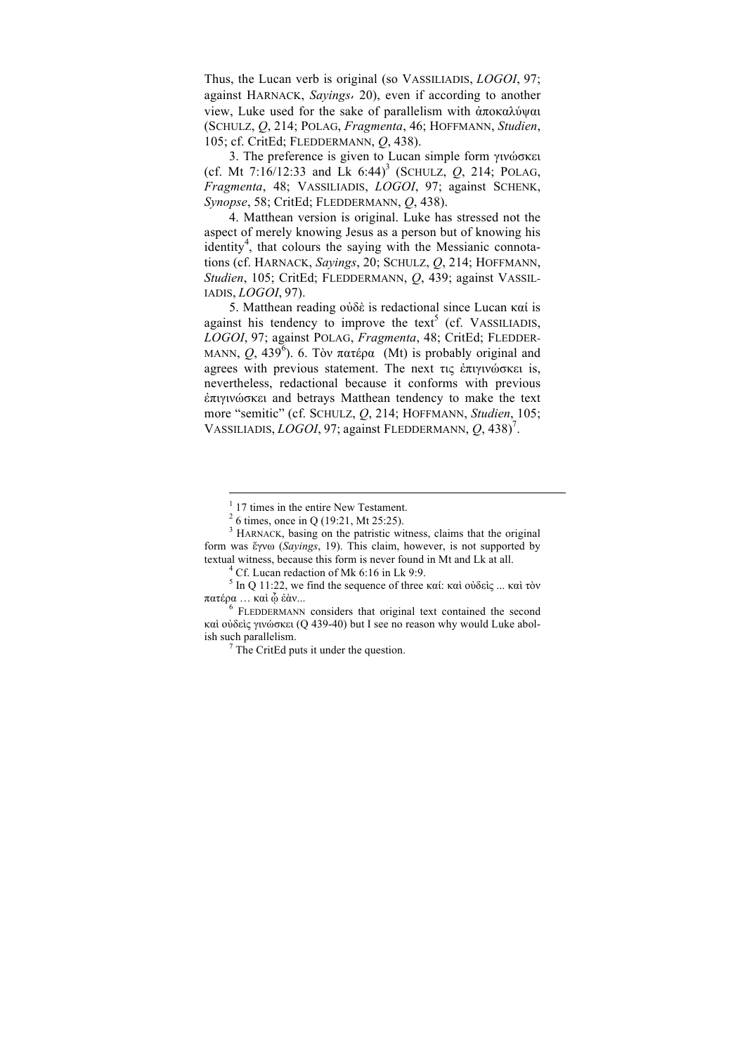Thus, the Lucan verb is original (so VASSILIADIS, *LOGOI*, 97; against HARNACK, *Sayings*, 20), even if according to another view, Luke used for the sake of parallelism with ἀποκαλύψαι (SCHULZ, *Q*, 214; POLAG, *Fragmenta*, 46; HOFFMANN, *Studien*, 105; cf. CritEd; FLEDDERMANN, *Q*, 438).

3. The preference is given to Lucan simple form γινώσκει (cf. Mt  $7:16/12:33$  and Lk  $6:44$ <sup>3</sup> (SCHULZ,  $Q$ , 214; POLAG, *Fragmenta*, 48; VASSILIADIS, *LOGOI*, 97; against SCHENK, *Synopse*, 58; CritEd; FLEDDERMANN, *Q*, 438).

4. Matthean version is original. Luke has stressed not the aspect of merely knowing Jesus as a person but of knowing his identity<sup>4</sup>, that colours the saying with the Messianic connotations (cf. HARNACK, *Sayings*, 20; SCHULZ, *Q*, 214; HOFFMANN, *Studien*, 105; CritEd; FLEDDERMANN, *Q*, 439; against VASSIL-IADIS, *LOGOI*, 97).

5. Matthean reading οὐδὲ is redactional since Lucan καί is against his tendency to improve the text<sup>5</sup> (cf. VASSILIADIS, *LOGOI*, 97; against POLAG, *Fragmenta*, 48; CritEd; FLEDDER-MANN,  $Q_1$ , 439<sup>6</sup>). 6. Τὸν πατέρα (Mt) is probably original and agrees with previous statement. The next τις ἐπιγινώσκει is, nevertheless, redactional because it conforms with previous ἐπιγινώσκει and betrays Matthean tendency to make the text more "semitic" (cf. SCHULZ, *Q*, 214; HOFFMANN, *Studien*, 105; VASSILIADIS, *LOGOI*, 97; against FLEDDERMANN, *Q*, 438)<sup>7</sup> .

<sup>17</sup> times in the entire New Testament.

<sup>2</sup> 6 times, once in Q (19:21, Mt 25:25).

<sup>&</sup>lt;sup>3</sup> HARNACK, basing on the patristic witness, claims that the original form was ἔγνω (*Sayings*, 19). This claim, however, is not supported by textual witness, because this form is never found in Mt and Lk at all. 4 Cf. Lucan redaction of Mk 6:16 in Lk 9:9.

<sup>5</sup> In Q 11:22, we find the sequence of three καί: καὶ οὐδεὶς ... καὶ τὸν πατέρα … καὶ <sup>ᾧ</sup> ἐὰν... 6 FLEDDERMANN considers that original text contained the second

καὶ οὐδεὶς γινώσκει (Q 439-40) but I see no reason why would Luke abolish such parallelism.<br> $\frac{7}{7}$ The CritEd puts it under the question.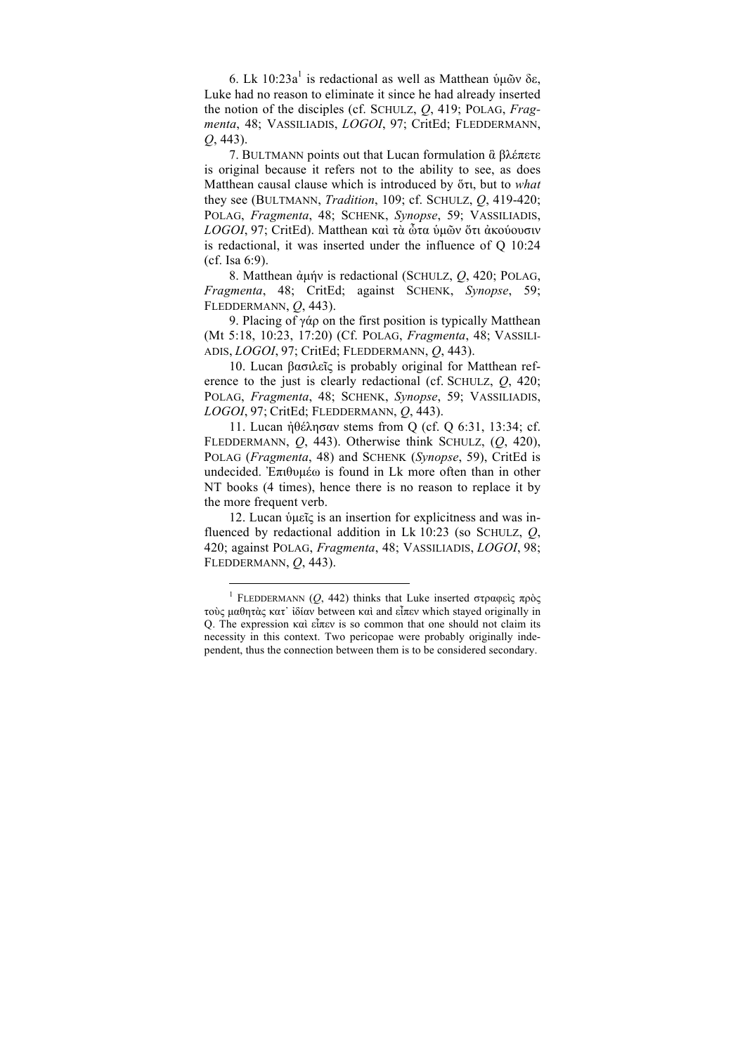6. Lk 10:23a<sup>1</sup> is redactional as well as Matthean ὑμῶν δε, Luke had no reason to eliminate it since he had already inserted the notion of the disciples (cf. SCHULZ, *Q*, 419; POLAG, *Fragmenta*, 48; VASSILIADIS, *LOGOI*, 97; CritEd; FLEDDERMANN, *Q*, 443).

7. BULTMANN points out that Lucan formulation ἃ βλέπετε is original because it refers not to the ability to see, as does Matthean causal clause which is introduced by ὅτι, but to *what* they see (BULTMANN, *Tradition*, 109; cf. SCHULZ, *Q*, 419-420; POLAG, *Fragmenta*, 48; SCHENK, *Synopse*, 59; VASSILIADIS, *LOGOI*, 97; CritEd). Matthean καὶ τὰ ὦτα ὑµῶν ὅτι ἀκούουσιν is redactional, it was inserted under the influence of Q 10:24 (cf. Isa 6:9).

8. Matthean ἀµήν is redactional (SCHULZ, *Q*, 420; POLAG, *Fragmenta*, 48; CritEd; against SCHENK, *Synopse*, 59; FLEDDERMANN, *Q*, 443).

9. Placing of γάρ on the first position is typically Matthean (Mt 5:18, 10:23, 17:20) (Cf. POLAG, *Fragmenta*, 48; VASSILI-ADIS, *LOGOI*, 97; CritEd; FLEDDERMANN, *Q*, 443).

10. Lucan βασιλεῖς is probably original for Matthean reference to the just is clearly redactional (cf. SCHULZ, *Q*, 420; POLAG, *Fragmenta*, 48; SCHENK, *Synopse*, 59; VASSILIADIS, *LOGOI*, 97; CritEd; FLEDDERMANN, *Q*, 443).

11. Lucan ἠθέλησαν stems from Q (cf. Q 6:31, 13:34; cf. FLEDDERMANN, *Q*, 443). Otherwise think SCHULZ, (*Q*, 420), POLAG (*Fragmenta*, 48) and SCHENK (*Synopse*, 59), CritEd is undecided. Ἐπιθυµέω is found in Lk more often than in other NT books (4 times), hence there is no reason to replace it by the more frequent verb.

12. Lucan ὑµεῖς is an insertion for explicitness and was influenced by redactional addition in Lk 10:23 (so SCHULZ, *Q*, 420; against POLAG, *Fragmenta*, 48; VASSILIADIS, *LOGOI*, 98; FLEDDERMANN, *Q*, 443).

<sup>1</sup> FLEDDERMANN (*Q*, 442) thinks that Luke inserted στραφεὶς πρὸς τοὺς µαθητὰς κατ᾽ ἰδίαν between καὶ and εἶπεν which stayed originally in Q. The expression καὶ εἶπεν is so common that one should not claim its necessity in this context. Two pericopae were probably originally independent, thus the connection between them is to be considered secondary.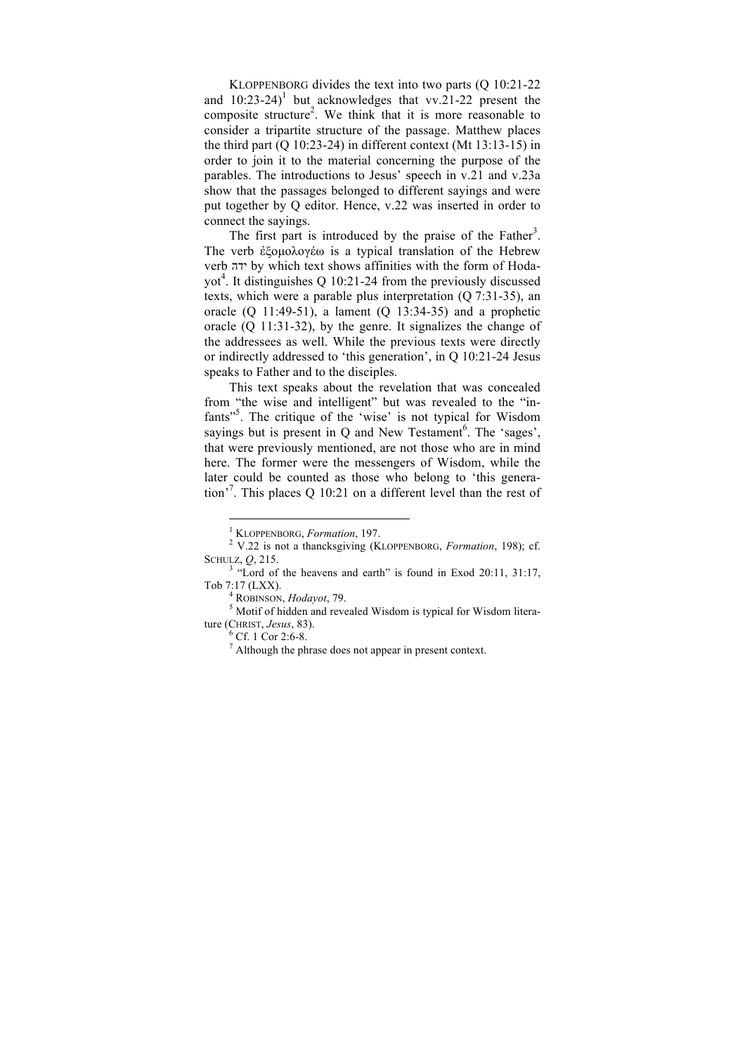KLOPPENBORG divides the text into two parts (Q 10:21-22 and  $10:23-24$ <sup>1</sup> but acknowledges that vv.21-22 present the composite structure<sup>2</sup>. We think that it is more reasonable to consider a tripartite structure of the passage. Matthew places the third part (Q 10:23-24) in different context (Mt 13:13-15) in order to join it to the material concerning the purpose of the parables. The introductions to Jesus' speech in v.21 and v.23a show that the passages belonged to different sayings and were put together by Q editor. Hence, v.22 was inserted in order to connect the sayings.

The first part is introduced by the praise of the Father<sup>3</sup>. The verb ἐξοµολογέω is a typical translation of the Hebrew verb ידה by which text shows affinities with the form of Hodayot<sup>4</sup>. It distinguishes Q 10:21-24 from the previously discussed texts, which were a parable plus interpretation (Q 7:31-35), an oracle  $(Q \ 11:49-51)$ , a lament  $(Q \ 13:34-35)$  and a prophetic oracle (Q 11:31-32), by the genre. It signalizes the change of the addressees as well. While the previous texts were directly or indirectly addressed to 'this generation', in Q 10:21-24 Jesus speaks to Father and to the disciples.

This text speaks about the revelation that was concealed from "the wise and intelligent" but was revealed to the "infants"<sup>5</sup>. The critique of the 'wise' is not typical for Wisdom sayings but is present in  $Q$  and New Testament<sup>6</sup>. The 'sages', that were previously mentioned, are not those who are in mind here. The former were the messengers of Wisdom, while the later could be counted as those who belong to 'this generation'<sup>7</sup> . This places Q 10:21 on a different level than the rest of

ture (CHRIST, *Jesus*, 83).<br><sup>6</sup> Cf. 1 Cor 2:6-8.<br><sup>7</sup> Although the phrase does not appear in present context.

<sup>&</sup>lt;sup>1</sup> KLOPPENBORG, *Formation*, 197.<br><sup>2</sup> V.22 is not a thancksgiving (KLOPPENBORG, *Formation*, 198); cf. SCHULZ,  $Q$ , 215.<br><sup>3</sup> "Lord of the heavens and earth" is found in Exod 20:11, 31:17,

Tob 7:17 (LXX).<br><sup>4</sup> ROBINSON, *Hodayot*, 79.<br><sup>5</sup> Motif of hidden and revealed Wisdom is typical for Wisdom litera-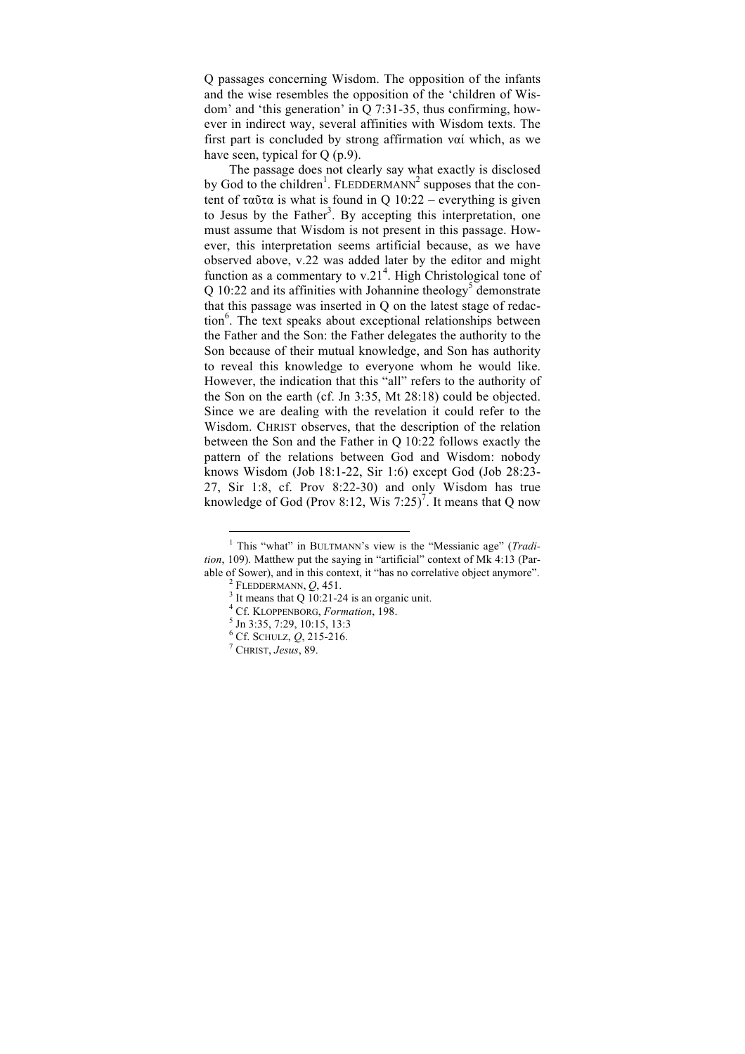Q passages concerning Wisdom. The opposition of the infants and the wise resembles the opposition of the 'children of Wisdom' and 'this generation' in Q 7:31-35, thus confirming, however in indirect way, several affinities with Wisdom texts. The first part is concluded by strong affirmation ναί which, as we have seen, typical for O (p.9).

The passage does not clearly say what exactly is disclosed by God to the children<sup>1</sup>. FLEDDERMANN<sup>2</sup> supposes that the content of ταῦτα is what is found in  $Q_10:22$  – everything is given to Jesus by the Father<sup>3</sup>. By accepting this interpretation, one must assume that Wisdom is not present in this passage. However, this interpretation seems artificial because, as we have observed above, v.22 was added later by the editor and might function as a commentary to v.21<sup>4</sup>. High Christological tone of Q 10:22 and its affinities with Johannine theology<sup>5</sup> demonstrate that this passage was inserted in Q on the latest stage of redaction<sup>6</sup>. The text speaks about exceptional relationships between the Father and the Son: the Father delegates the authority to the Son because of their mutual knowledge, and Son has authority to reveal this knowledge to everyone whom he would like. However, the indication that this "all" refers to the authority of the Son on the earth (cf. Jn 3:35, Mt 28:18) could be objected. Since we are dealing with the revelation it could refer to the Wisdom. CHRIST observes, that the description of the relation between the Son and the Father in Q 10:22 follows exactly the pattern of the relations between God and Wisdom: nobody knows Wisdom (Job 18:1-22, Sir 1:6) except God (Job 28:23- 27, Sir 1:8, cf. Prov 8:22-30) and only Wisdom has true knowledge of God (Prov 8:12, Wis 7:25)<sup>7</sup>. It means that Q now

<sup>1</sup> This "what" in BULTMANN's view is the "Messianic age" (*Tradition*, 109). Matthew put the saying in "artificial" context of Mk 4:13 (Parable of Sower), and in this context, it "has no correlative object anymore".<br>
<sup>2</sup> FLEDDERMANN, *Q*, 451.<br>
<sup>3</sup> It means that Q 10:21-24 is an organic unit.<br>
<sup>4</sup> Cf. KLOPPENBORG, *Formation*, 198.<br>
<sup>5</sup> Jn 3:35, 7:29, 10:15,

<sup>6</sup> Cf. SCHULZ, *Q*, 215-216. <sup>7</sup> CHRIST, *Jesus*, 89.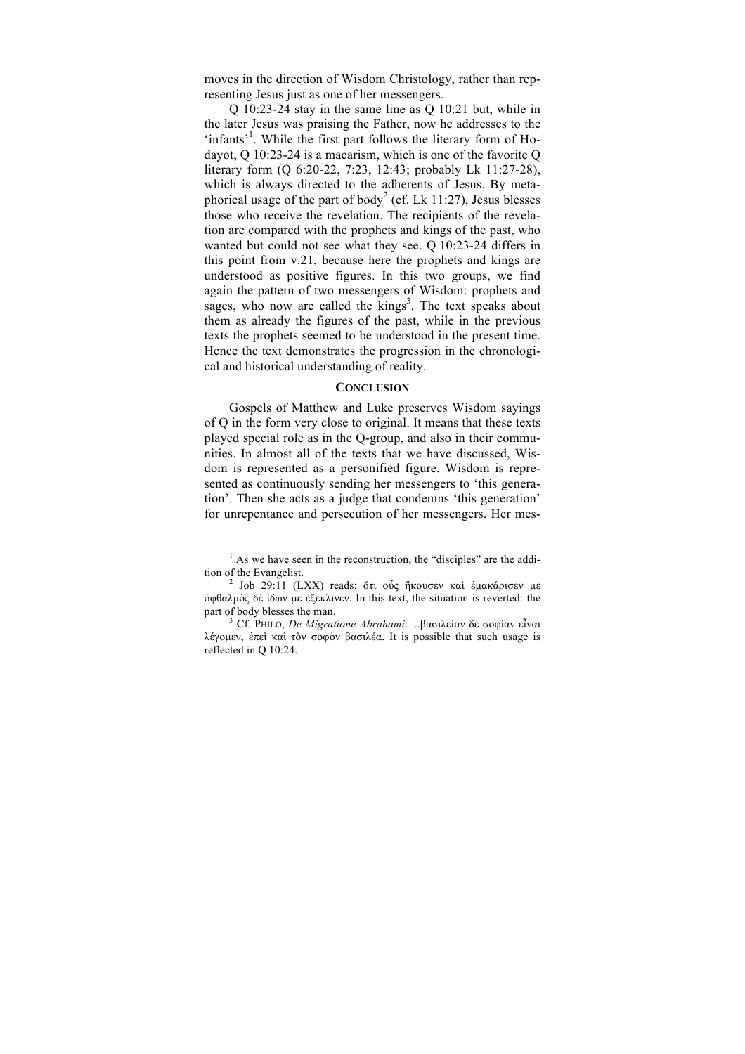moves in the direction of Wisdom Christology, rather than representing Jesus just as one of her messengers.

Q 10:23-24 stay in the same line as Q 10:21 but, while in the later Jesus was praising the Father, now he addresses to the 'infants'<sup>1</sup>. While the first part follows the literary form of Hodayot, Q 10:23-24 is a macarism, which is one of the favorite Q literary form (Q 6:20-22, 7:23, 12:43; probably Lk 11:27-28), which is always directed to the adherents of Jesus. By metaphorical usage of the part of body<sup>2</sup> (cf. Lk 11:27), Jesus blesses those who receive the revelation. The recipients of the revelation are compared with the prophets and kings of the past, who wanted but could not see what they see. Q 10:23-24 differs in this point from v.21, because here the prophets and kings are understood as positive figures. In this two groups, we find again the pattern of two messengers of Wisdom: prophets and sages, who now are called the  $kings<sup>3</sup>$ . The text speaks about them as already the figures of the past, while in the previous texts the prophets seemed to be understood in the present time. Hence the text demonstrates the progression in the chronological and historical understanding of reality.

#### **CONCLUSION**

Gospels of Matthew and Luke preserves Wisdom sayings of Q in the form very close to original. It means that these texts played special role as in the Q-group, and also in their communities. In almost all of the texts that we have discussed, Wisdom is represented as a personified figure. Wisdom is represented as continuously sending her messengers to 'this generation'. Then she acts as a judge that condemns 'this generation' for unrepentance and persecution of her messengers. Her mes-

 $<sup>1</sup>$  As we have seen in the reconstruction, the "disciples" are the addi-</sup> tion of the Evangelist.<br><sup>2</sup> Job 29:11 (LXX) reads: ὅτι οὖς ἤκουσεν καὶ ἐμακάρισεν με

ὀφθαλµὸς δὲ ἰδων µε ἐξέκλινεν. In this text, the situation is reverted: the part of body blesses the man. 3 Cf. PHILO, *De Migratione Abrahami*: ...βασιλείαν δὲ σοφίαν εἶναι

λέγοµεν, ἐπεὶ καὶ τὸν σοφὸν βασιλέα. It is possible that such usage is reflected in Q 10:24.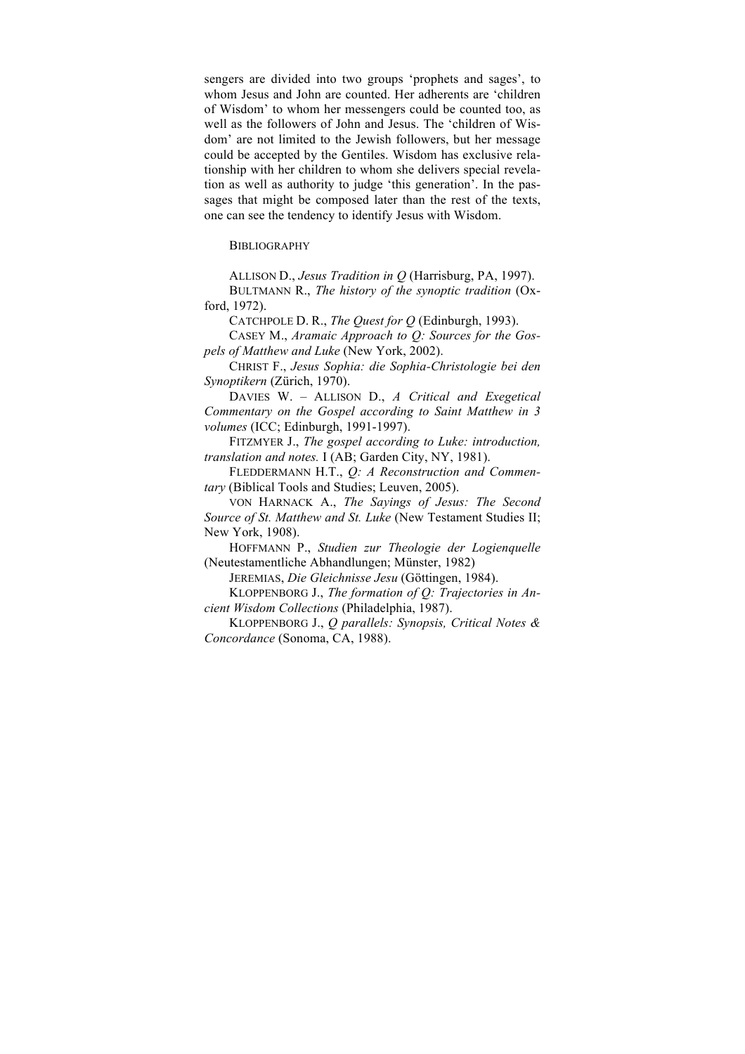sengers are divided into two groups 'prophets and sages', to whom Jesus and John are counted. Her adherents are 'children of Wisdom' to whom her messengers could be counted too, as well as the followers of John and Jesus. The 'children of Wisdom' are not limited to the Jewish followers, but her message could be accepted by the Gentiles. Wisdom has exclusive relationship with her children to whom she delivers special revelation as well as authority to judge 'this generation'. In the passages that might be composed later than the rest of the texts, one can see the tendency to identify Jesus with Wisdom.

**BIBLIOGRAPHY** 

ALLISON D., *Jesus Tradition in Q* (Harrisburg, PA, 1997).

BULTMANN R., *The history of the synoptic tradition* (Oxford, 1972).

CATCHPOLE D. R., *The Quest for Q* (Edinburgh, 1993).

CASEY M., *Aramaic Approach to Q: Sources for the Gospels of Matthew and Luke* (New York, 2002).

CHRIST F., *Jesus Sophia: die Sophia-Christologie bei den Synoptikern* (Zürich, 1970).

DAVIES W. – ALLISON D., *A Critical and Exegetical Commentary on the Gospel according to Saint Matthew in 3 volumes* (ICC; Edinburgh, 1991-1997).

FITZMYER J., *The gospel according to Luke: introduction, translation and notes.* I (AB; Garden City, NY, 1981).

FLEDDERMANN H.T., *Q: A Reconstruction and Commentary* (Biblical Tools and Studies; Leuven, 2005).

VON HARNACK A., *The Sayings of Jesus: The Second Source of St. Matthew and St. Luke* (New Testament Studies II; New York, 1908).

HOFFMANN P., *Studien zur Theologie der Logienquelle* (Neutestamentliche Abhandlungen; Münster, 1982)

JEREMIAS, *Die Gleichnisse Jesu* (Göttingen, 1984).

KLOPPENBORG J., *The formation of Q: Trajectories in Ancient Wisdom Collections* (Philadelphia, 1987).

KLOPPENBORG J., *Q parallels: Synopsis, Critical Notes & Concordance* (Sonoma, CA, 1988).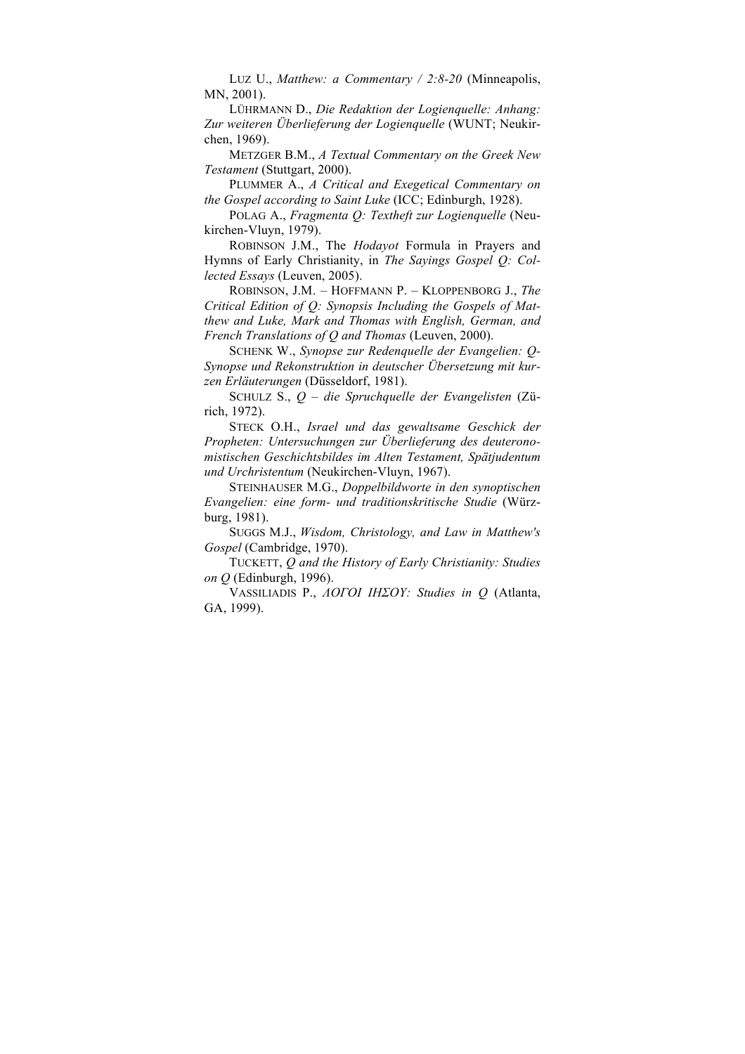LUZ U., *Matthew: a Commentary / 2:8-20* (Minneapolis, MN, 2001).

LÜHRMANN D., *Die Redaktion der Logienquelle: Anhang: Zur weiteren Überlieferung der Logienquelle* (WUNT; Neukirchen, 1969).

METZGER B.M., *A Textual Commentary on the Greek New Testament* (Stuttgart, 2000).

PLUMMER A., *A Critical and Exegetical Commentary on the Gospel according to Saint Luke* (ICC; Edinburgh, 1928).

POLAG A., *Fragmenta Q: Textheft zur Logienquelle* (Neukirchen-Vluyn, 1979).

ROBINSON J.M., The *Hodayot* Formula in Prayers and Hymns of Early Christianity, in *The Sayings Gospel Q: Collected Essays* (Leuven, 2005).

ROBINSON, J.M. – HOFFMANN P. – KLOPPENBORG J., *The Critical Edition of Q: Synopsis Including the Gospels of Matthew and Luke, Mark and Thomas with English, German, and French Translations of Q and Thomas* (Leuven, 2000).

SCHENK W., *Synopse zur Redenquelle der Evangelien: Q-Synopse und Rekonstruktion in deutscher Übersetzung mit kurzen Erläuterungen* (Düsseldorf, 1981).

SCHULZ S., *Q – die Spruchquelle der Evangelisten* (Zürich, 1972).

STECK O.H., *Israel und das gewaltsame Geschick der Propheten: Untersuchungen zur Überlieferung des deuteronomistischen Geschichtsbildes im Alten Testament, Spätjudentum und Urchristentum* (Neukirchen-Vluyn, 1967).

STEINHAUSER M.G., *Doppelbildworte in den synoptischen Evangelien: eine form- und traditionskritische Studie* (Würzburg, 1981).

SUGGS M.J., *Wisdom, Christology, and Law in Matthew's Gospel* (Cambridge, 1970).

TUCKETT, *Q and the History of Early Christianity: Studies on Q* (Edinburgh, 1996).

VASSILIADIS P., *ΛΟΓΟΙ ΙΗΣΟΥ: Studies in Q* (Atlanta, GA, 1999).